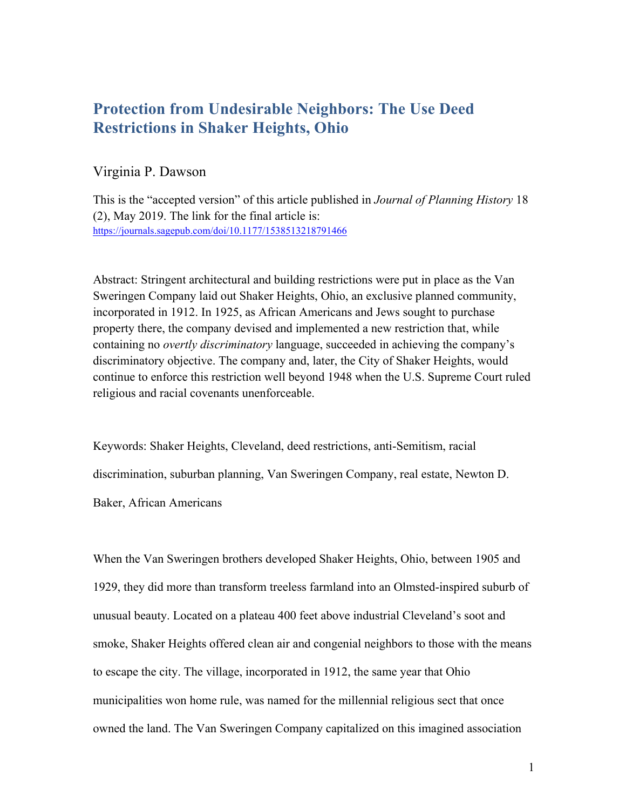# **Protection from Undesirable Neighbors: The Use Deed Restrictions in Shaker Heights, Ohio**

### Virginia P. Dawson

This is the "accepted version" of this article published in *Journal of Planning History* 18 (2), May 2019. The link for the final article is: https://journals.sagepub.com/doi/10.1177/1538513218791466

Abstract: Stringent architectural and building restrictions were put in place as the Van Sweringen Company laid out Shaker Heights, Ohio, an exclusive planned community, incorporated in 1912. In 1925, as African Americans and Jews sought to purchase property there, the company devised and implemented a new restriction that, while containing no *overtly discriminatory* language, succeeded in achieving the company's discriminatory objective. The company and, later, the City of Shaker Heights, would continue to enforce this restriction well beyond 1948 when the U.S. Supreme Court ruled religious and racial covenants unenforceable.

Keywords: Shaker Heights, Cleveland, deed restrictions, anti-Semitism, racial discrimination, suburban planning, Van Sweringen Company, real estate, Newton D. Baker, African Americans

When the Van Sweringen brothers developed Shaker Heights, Ohio, between 1905 and 1929, they did more than transform treeless farmland into an Olmsted-inspired suburb of unusual beauty. Located on a plateau 400 feet above industrial Cleveland's soot and smoke, Shaker Heights offered clean air and congenial neighbors to those with the means to escape the city. The village, incorporated in 1912, the same year that Ohio municipalities won home rule, was named for the millennial religious sect that once owned the land. The Van Sweringen Company capitalized on this imagined association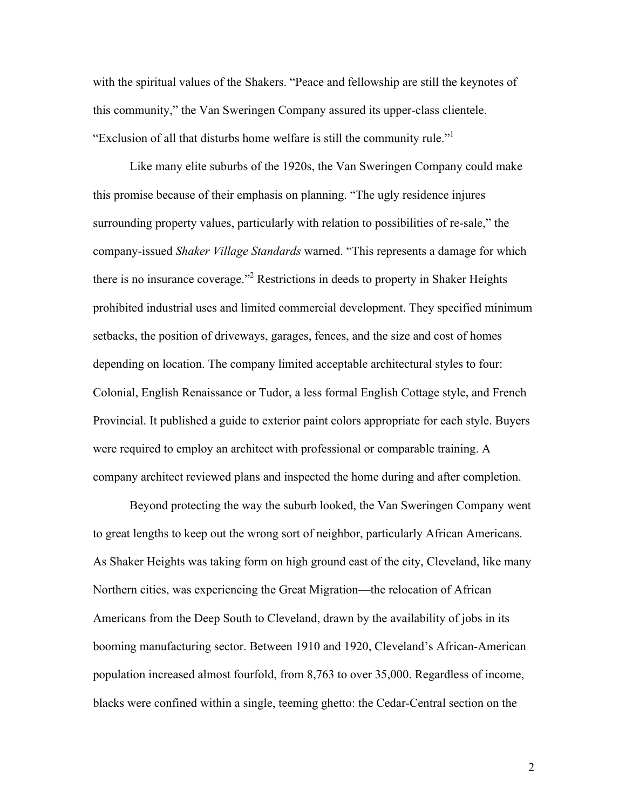with the spiritual values of the Shakers. "Peace and fellowship are still the keynotes of this community," the Van Sweringen Company assured its upper-class clientele. "Exclusion of all that disturbs home welfare is still the community rule."<sup>1</sup>

Like many elite suburbs of the 1920s, the Van Sweringen Company could make this promise because of their emphasis on planning. "The ugly residence injures surrounding property values, particularly with relation to possibilities of re-sale," the company-issued *Shaker Village Standards* warned. "This represents a damage for which there is no insurance coverage."<sup>2</sup> Restrictions in deeds to property in Shaker Heights prohibited industrial uses and limited commercial development. They specified minimum setbacks, the position of driveways, garages, fences, and the size and cost of homes depending on location. The company limited acceptable architectural styles to four: Colonial, English Renaissance or Tudor, a less formal English Cottage style, and French Provincial. It published a guide to exterior paint colors appropriate for each style. Buyers were required to employ an architect with professional or comparable training. A company architect reviewed plans and inspected the home during and after completion.

Beyond protecting the way the suburb looked, the Van Sweringen Company went to great lengths to keep out the wrong sort of neighbor, particularly African Americans. As Shaker Heights was taking form on high ground east of the city, Cleveland, like many Northern cities, was experiencing the Great Migration—the relocation of African Americans from the Deep South to Cleveland, drawn by the availability of jobs in its booming manufacturing sector. Between 1910 and 1920, Cleveland's African-American population increased almost fourfold, from 8,763 to over 35,000. Regardless of income, blacks were confined within a single, teeming ghetto: the Cedar-Central section on the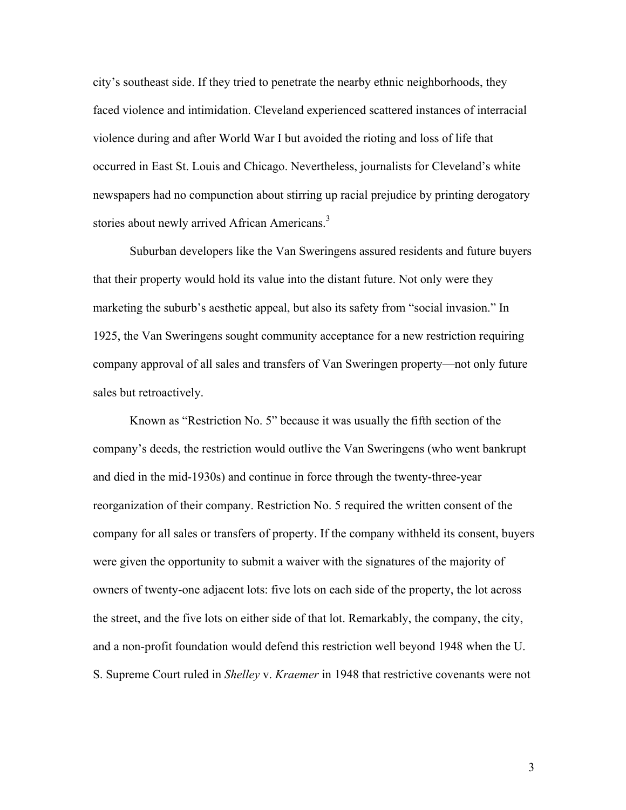city's southeast side. If they tried to penetrate the nearby ethnic neighborhoods, they faced violence and intimidation. Cleveland experienced scattered instances of interracial violence during and after World War I but avoided the rioting and loss of life that occurred in East St. Louis and Chicago. Nevertheless, journalists for Cleveland's white newspapers had no compunction about stirring up racial prejudice by printing derogatory stories about newly arrived African Americans.<sup>3</sup>

Suburban developers like the Van Sweringens assured residents and future buyers that their property would hold its value into the distant future. Not only were they marketing the suburb's aesthetic appeal, but also its safety from "social invasion." In 1925, the Van Sweringens sought community acceptance for a new restriction requiring company approval of all sales and transfers of Van Sweringen property—not only future sales but retroactively.

Known as "Restriction No. 5" because it was usually the fifth section of the company's deeds, the restriction would outlive the Van Sweringens (who went bankrupt and died in the mid-1930s) and continue in force through the twenty-three-year reorganization of their company. Restriction No. 5 required the written consent of the company for all sales or transfers of property. If the company withheld its consent, buyers were given the opportunity to submit a waiver with the signatures of the majority of owners of twenty-one adjacent lots: five lots on each side of the property, the lot across the street, and the five lots on either side of that lot. Remarkably, the company, the city, and a non-profit foundation would defend this restriction well beyond 1948 when the U. S. Supreme Court ruled in *Shelley* v. *Kraemer* in 1948 that restrictive covenants were not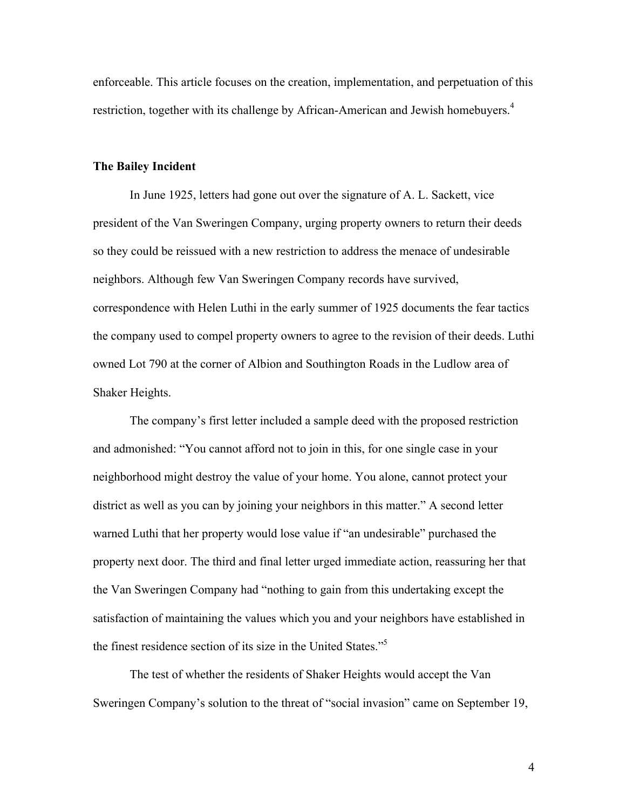enforceable. This article focuses on the creation, implementation, and perpetuation of this restriction, together with its challenge by African-American and Jewish homebuyers.<sup>4</sup>

#### **The Bailey Incident**

In June 1925, letters had gone out over the signature of A. L. Sackett, vice president of the Van Sweringen Company, urging property owners to return their deeds so they could be reissued with a new restriction to address the menace of undesirable neighbors. Although few Van Sweringen Company records have survived, correspondence with Helen Luthi in the early summer of 1925 documents the fear tactics the company used to compel property owners to agree to the revision of their deeds. Luthi owned Lot 790 at the corner of Albion and Southington Roads in the Ludlow area of Shaker Heights.

The company's first letter included a sample deed with the proposed restriction and admonished: "You cannot afford not to join in this, for one single case in your neighborhood might destroy the value of your home. You alone, cannot protect your district as well as you can by joining your neighbors in this matter." A second letter warned Luthi that her property would lose value if "an undesirable" purchased the property next door. The third and final letter urged immediate action, reassuring her that the Van Sweringen Company had "nothing to gain from this undertaking except the satisfaction of maintaining the values which you and your neighbors have established in the finest residence section of its size in the United States."5

The test of whether the residents of Shaker Heights would accept the Van Sweringen Company's solution to the threat of "social invasion" came on September 19,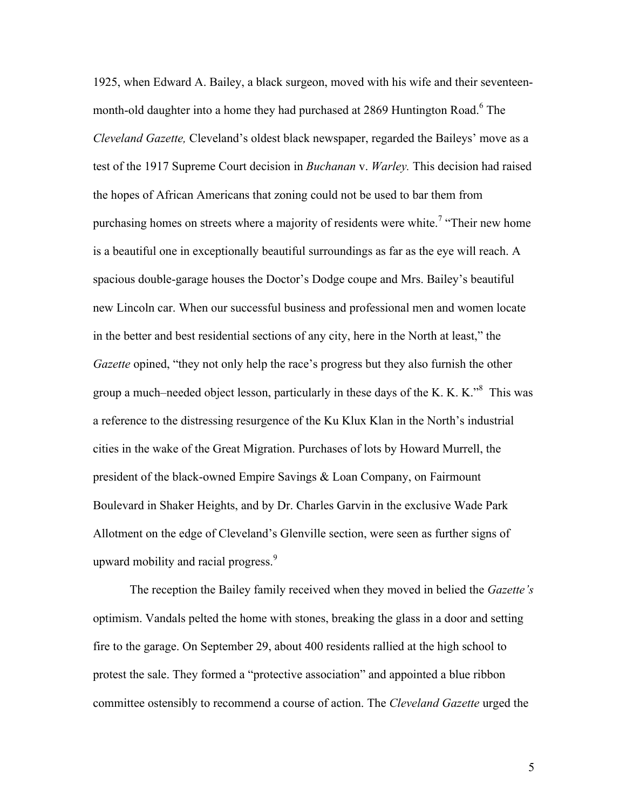1925, when Edward A. Bailey, a black surgeon, moved with his wife and their seventeenmonth-old daughter into a home they had purchased at 2869 Huntington Road.<sup>6</sup> The *Cleveland Gazette,* Cleveland's oldest black newspaper, regarded the Baileys' move as a test of the 1917 Supreme Court decision in *Buchanan* v. *Warley.* This decision had raised the hopes of African Americans that zoning could not be used to bar them from purchasing homes on streets where a majority of residents were white.<sup>7</sup> "Their new home is a beautiful one in exceptionally beautiful surroundings as far as the eye will reach. A spacious double-garage houses the Doctor's Dodge coupe and Mrs. Bailey's beautiful new Lincoln car. When our successful business and professional men and women locate in the better and best residential sections of any city, here in the North at least," the *Gazette* opined, "they not only help the race's progress but they also furnish the other group a much–needed object lesson, particularly in these days of the K. K. K.<sup>38</sup> This was a reference to the distressing resurgence of the Ku Klux Klan in the North's industrial cities in the wake of the Great Migration. Purchases of lots by Howard Murrell, the president of the black-owned Empire Savings & Loan Company, on Fairmount Boulevard in Shaker Heights, and by Dr. Charles Garvin in the exclusive Wade Park Allotment on the edge of Cleveland's Glenville section, were seen as further signs of upward mobility and racial progress.<sup>9</sup>

The reception the Bailey family received when they moved in belied the *Gazette's* optimism. Vandals pelted the home with stones, breaking the glass in a door and setting fire to the garage. On September 29, about 400 residents rallied at the high school to protest the sale. They formed a "protective association" and appointed a blue ribbon committee ostensibly to recommend a course of action. The *Cleveland Gazette* urged the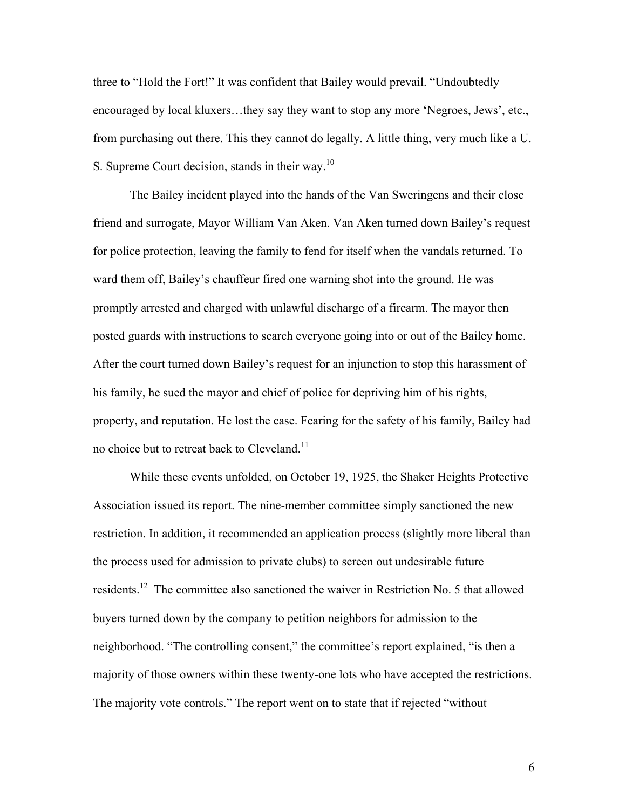three to "Hold the Fort!" It was confident that Bailey would prevail. "Undoubtedly encouraged by local kluxers…they say they want to stop any more 'Negroes, Jews', etc., from purchasing out there. This they cannot do legally. A little thing, very much like a U. S. Supreme Court decision, stands in their way.<sup>10</sup>

The Bailey incident played into the hands of the Van Sweringens and their close friend and surrogate, Mayor William Van Aken. Van Aken turned down Bailey's request for police protection, leaving the family to fend for itself when the vandals returned. To ward them off, Bailey's chauffeur fired one warning shot into the ground. He was promptly arrested and charged with unlawful discharge of a firearm. The mayor then posted guards with instructions to search everyone going into or out of the Bailey home. After the court turned down Bailey's request for an injunction to stop this harassment of his family, he sued the mayor and chief of police for depriving him of his rights, property, and reputation. He lost the case. Fearing for the safety of his family, Bailey had no choice but to retreat back to Cleveland.<sup>11</sup>

While these events unfolded, on October 19, 1925, the Shaker Heights Protective Association issued its report. The nine-member committee simply sanctioned the new restriction. In addition, it recommended an application process (slightly more liberal than the process used for admission to private clubs) to screen out undesirable future residents.<sup>12</sup> The committee also sanctioned the waiver in Restriction No. 5 that allowed buyers turned down by the company to petition neighbors for admission to the neighborhood. "The controlling consent," the committee's report explained, "is then a majority of those owners within these twenty-one lots who have accepted the restrictions. The majority vote controls." The report went on to state that if rejected "without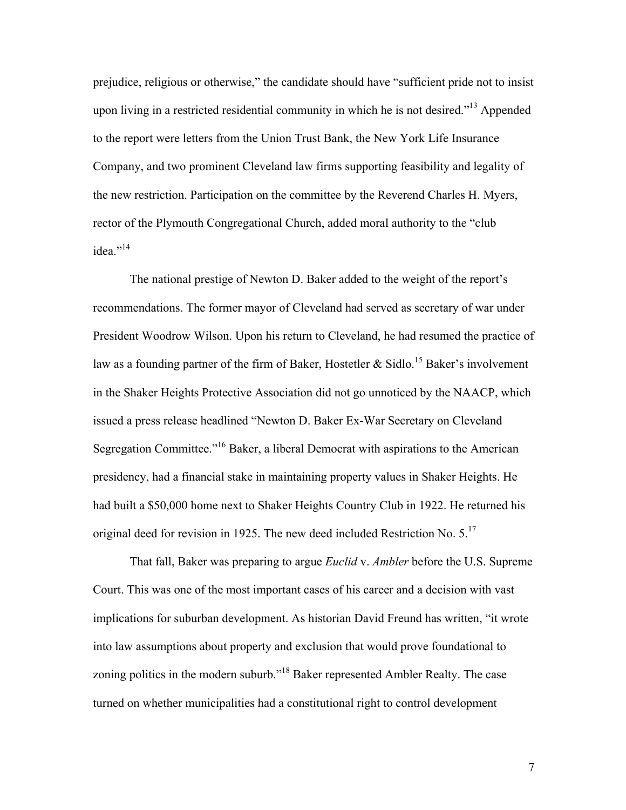prejudice, religious or otherwise," the candidate should have "sufficient pride not to insist upon living in a restricted residential community in which he is not desired."<sup>13</sup> Appended to the report were letters from the Union Trust Bank, the New York Life Insurance Company, and two prominent Cleveland law firms supporting feasibility and legality of the new restriction. Participation on the committee by the Reverend Charles H. Myers, rector of the Plymouth Congregational Church, added moral authority to the "club idea."<sup>14</sup>

The national prestige of Newton D. Baker added to the weight of the report's recommendations. The former mayor of Cleveland had served as secretary of war under President Woodrow Wilson. Upon his return to Cleveland, he had resumed the practice of law as a founding partner of the firm of Baker, Hostetler & Sidlo.<sup>15</sup> Baker's involvement in the Shaker Heights Protective Association did not go unnoticed by the NAACP, which issued a press release headlined "Newton D. Baker Ex-War Secretary on Cleveland Segregation Committee."<sup>16</sup> Baker, a liberal Democrat with aspirations to the American presidency, had a financial stake in maintaining property values in Shaker Heights. He had built a \$50,000 home next to Shaker Heights Country Club in 1922. He returned his original deed for revision in 1925. The new deed included Restriction No.  $5.^{17}$ 

That fall, Baker was preparing to argue *Euclid* v. *Ambler* before the U.S. Supreme Court. This was one of the most important cases of his career and a decision with vast implications for suburban development. As historian David Freund has written, "it wrote into law assumptions about property and exclusion that would prove foundational to zoning politics in the modern suburb."18 Baker represented Ambler Realty. The case turned on whether municipalities had a constitutional right to control development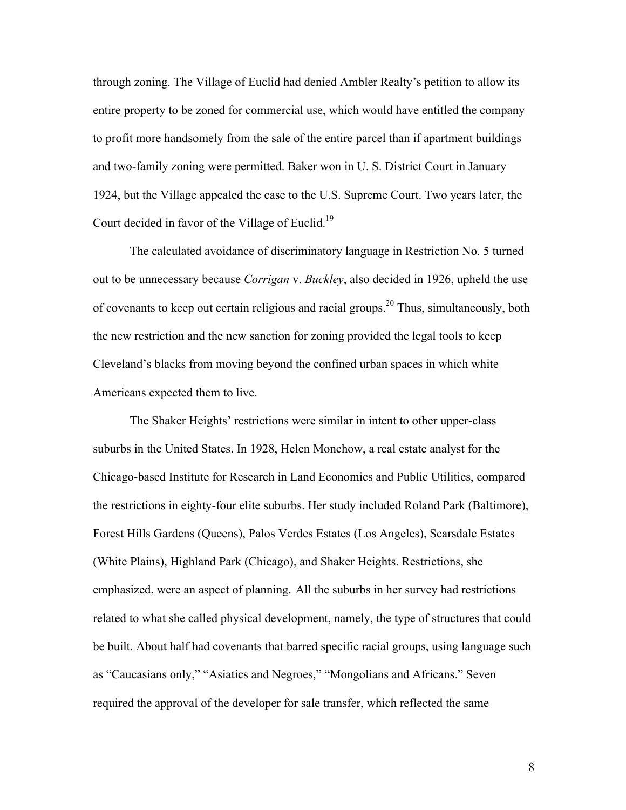through zoning. The Village of Euclid had denied Ambler Realty's petition to allow its entire property to be zoned for commercial use, which would have entitled the company to profit more handsomely from the sale of the entire parcel than if apartment buildings and two-family zoning were permitted. Baker won in U. S. District Court in January 1924, but the Village appealed the case to the U.S. Supreme Court. Two years later, the Court decided in favor of the Village of Euclid.<sup>19</sup>

The calculated avoidance of discriminatory language in Restriction No. 5 turned out to be unnecessary because *Corrigan* v. *Buckley*, also decided in 1926, upheld the use of covenants to keep out certain religious and racial groups.<sup>20</sup> Thus, simultaneously, both the new restriction and the new sanction for zoning provided the legal tools to keep Cleveland's blacks from moving beyond the confined urban spaces in which white Americans expected them to live.

The Shaker Heights' restrictions were similar in intent to other upper-class suburbs in the United States. In 1928, Helen Monchow, a real estate analyst for the Chicago-based Institute for Research in Land Economics and Public Utilities, compared the restrictions in eighty-four elite suburbs. Her study included Roland Park (Baltimore), Forest Hills Gardens (Queens), Palos Verdes Estates (Los Angeles), Scarsdale Estates (White Plains), Highland Park (Chicago), and Shaker Heights. Restrictions, she emphasized, were an aspect of planning. All the suburbs in her survey had restrictions related to what she called physical development, namely, the type of structures that could be built. About half had covenants that barred specific racial groups, using language such as "Caucasians only," "Asiatics and Negroes," "Mongolians and Africans." Seven required the approval of the developer for sale transfer, which reflected the same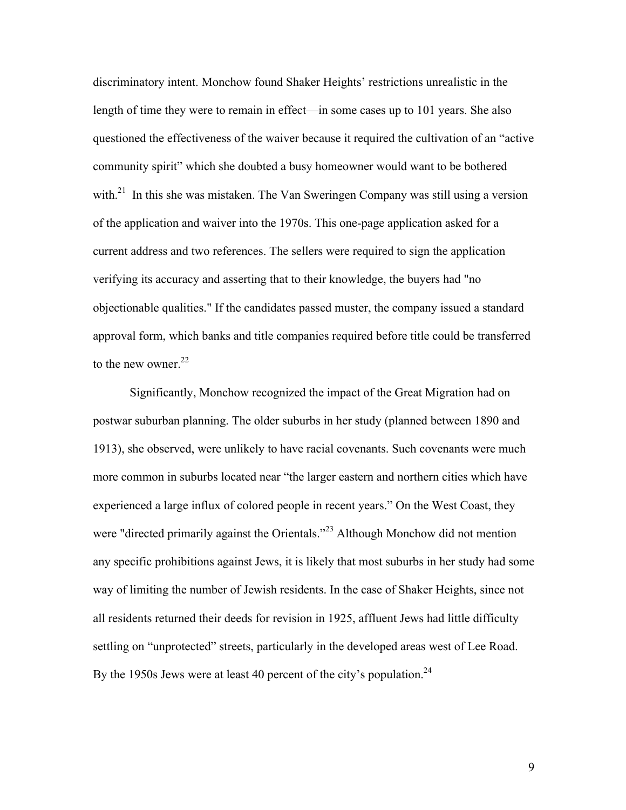discriminatory intent. Monchow found Shaker Heights' restrictions unrealistic in the length of time they were to remain in effect—in some cases up to 101 years. She also questioned the effectiveness of the waiver because it required the cultivation of an "active community spirit" which she doubted a busy homeowner would want to be bothered with.<sup>21</sup> In this she was mistaken. The Van Sweringen Company was still using a version of the application and waiver into the 1970s. This one-page application asked for a current address and two references. The sellers were required to sign the application verifying its accuracy and asserting that to their knowledge, the buyers had "no objectionable qualities." If the candidates passed muster, the company issued a standard approval form, which banks and title companies required before title could be transferred to the new owner.<sup>22</sup>

Significantly, Monchow recognized the impact of the Great Migration had on postwar suburban planning. The older suburbs in her study (planned between 1890 and 1913), she observed, were unlikely to have racial covenants. Such covenants were much more common in suburbs located near "the larger eastern and northern cities which have experienced a large influx of colored people in recent years." On the West Coast, they were "directed primarily against the Orientals."<sup>23</sup> Although Monchow did not mention any specific prohibitions against Jews, it is likely that most suburbs in her study had some way of limiting the number of Jewish residents. In the case of Shaker Heights, since not all residents returned their deeds for revision in 1925, affluent Jews had little difficulty settling on "unprotected" streets, particularly in the developed areas west of Lee Road. By the 1950s Jews were at least 40 percent of the city's population.<sup>24</sup>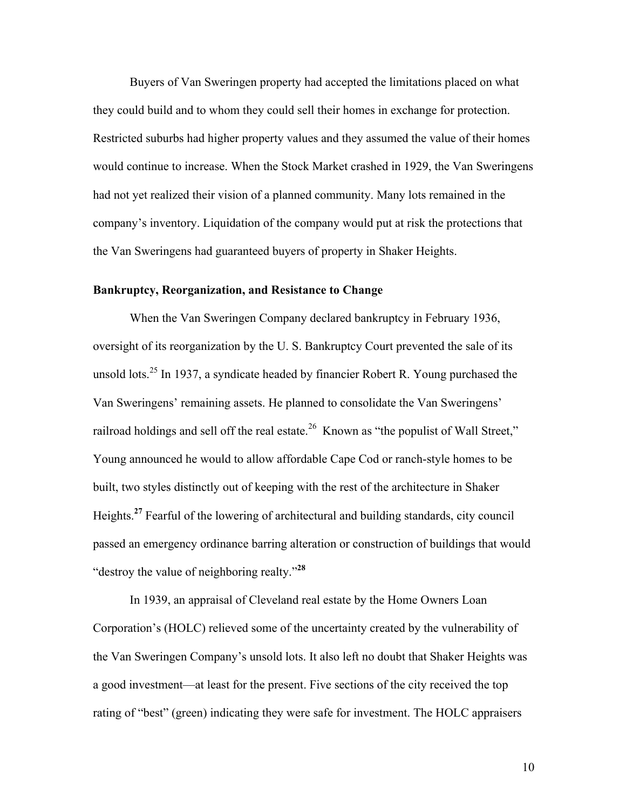Buyers of Van Sweringen property had accepted the limitations placed on what they could build and to whom they could sell their homes in exchange for protection. Restricted suburbs had higher property values and they assumed the value of their homes would continue to increase. When the Stock Market crashed in 1929, the Van Sweringens had not yet realized their vision of a planned community. Many lots remained in the company's inventory. Liquidation of the company would put at risk the protections that the Van Sweringens had guaranteed buyers of property in Shaker Heights.

#### **Bankruptcy, Reorganization, and Resistance to Change**

When the Van Sweringen Company declared bankruptcy in February 1936, oversight of its reorganization by the U. S. Bankruptcy Court prevented the sale of its unsold lots.<sup>25</sup> In 1937, a syndicate headed by financier Robert R. Young purchased the Van Sweringens' remaining assets. He planned to consolidate the Van Sweringens' railroad holdings and sell off the real estate.<sup>26</sup> Known as "the populist of Wall Street," Young announced he would to allow affordable Cape Cod or ranch-style homes to be built, two styles distinctly out of keeping with the rest of the architecture in Shaker Heights. **<sup>27</sup>** Fearful of the lowering of architectural and building standards, city council passed an emergency ordinance barring alteration or construction of buildings that would "destroy the value of neighboring realty."**<sup>28</sup>**

In 1939, an appraisal of Cleveland real estate by the Home Owners Loan Corporation's (HOLC) relieved some of the uncertainty created by the vulnerability of the Van Sweringen Company's unsold lots. It also left no doubt that Shaker Heights was a good investment—at least for the present. Five sections of the city received the top rating of "best" (green) indicating they were safe for investment. The HOLC appraisers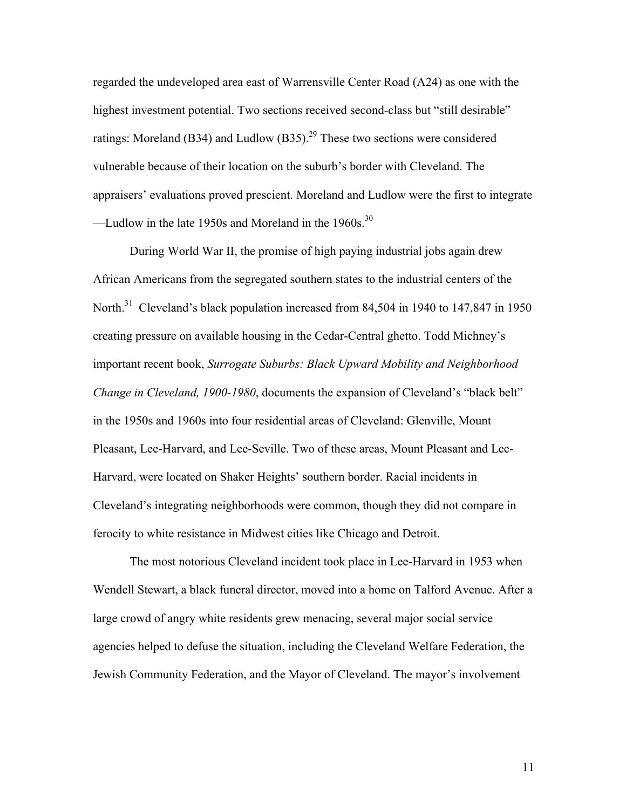regarded the undeveloped area east of Warrensville Center Road (A24) as one with the highest investment potential. Two sections received second-class but "still desirable" ratings: Moreland (B34) and Ludlow (B35).<sup>29</sup> These two sections were considered vulnerable because of their location on the suburb's border with Cleveland. The appraisers' evaluations proved prescient. Moreland and Ludlow were the first to integrate —Ludlow in the late 1950s and Moreland in the  $1960s$ .<sup>30</sup>

During World War II, the promise of high paying industrial jobs again drew African Americans from the segregated southern states to the industrial centers of the North.<sup>31</sup> Cleveland's black population increased from 84,504 in 1940 to 147,847 in 1950 creating pressure on available housing in the Cedar-Central ghetto. Todd Michney's important recent book, *Surrogate Suburbs: Black Upward Mobility and Neighborhood Change in Cleveland, 1900-1980*, documents the expansion of Cleveland's "black belt" in the 1950s and 1960s into four residential areas of Cleveland: Glenville, Mount Pleasant, Lee-Harvard, and Lee-Seville. Two of these areas, Mount Pleasant and Lee-Harvard, were located on Shaker Heights' southern border. Racial incidents in Cleveland's integrating neighborhoods were common, though they did not compare in ferocity to white resistance in Midwest cities like Chicago and Detroit.

The most notorious Cleveland incident took place in Lee-Harvard in 1953 when Wendell Stewart, a black funeral director, moved into a home on Talford Avenue. After a large crowd of angry white residents grew menacing, several major social service agencies helped to defuse the situation, including the Cleveland Welfare Federation, the Jewish Community Federation, and the Mayor of Cleveland. The mayor's involvement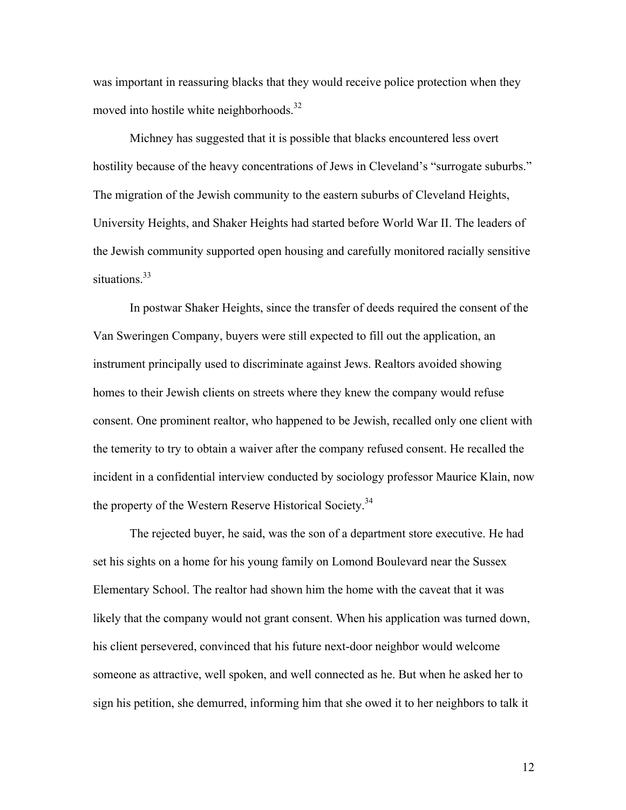was important in reassuring blacks that they would receive police protection when they moved into hostile white neighborhoods.<sup>32</sup>

Michney has suggested that it is possible that blacks encountered less overt hostility because of the heavy concentrations of Jews in Cleveland's "surrogate suburbs." The migration of the Jewish community to the eastern suburbs of Cleveland Heights, University Heights, and Shaker Heights had started before World War II. The leaders of the Jewish community supported open housing and carefully monitored racially sensitive situations.<sup>33</sup>

In postwar Shaker Heights, since the transfer of deeds required the consent of the Van Sweringen Company, buyers were still expected to fill out the application, an instrument principally used to discriminate against Jews. Realtors avoided showing homes to their Jewish clients on streets where they knew the company would refuse consent. One prominent realtor, who happened to be Jewish, recalled only one client with the temerity to try to obtain a waiver after the company refused consent. He recalled the incident in a confidential interview conducted by sociology professor Maurice Klain, now the property of the Western Reserve Historical Society.<sup>34</sup>

The rejected buyer, he said, was the son of a department store executive. He had set his sights on a home for his young family on Lomond Boulevard near the Sussex Elementary School. The realtor had shown him the home with the caveat that it was likely that the company would not grant consent. When his application was turned down, his client persevered, convinced that his future next-door neighbor would welcome someone as attractive, well spoken, and well connected as he. But when he asked her to sign his petition, she demurred, informing him that she owed it to her neighbors to talk it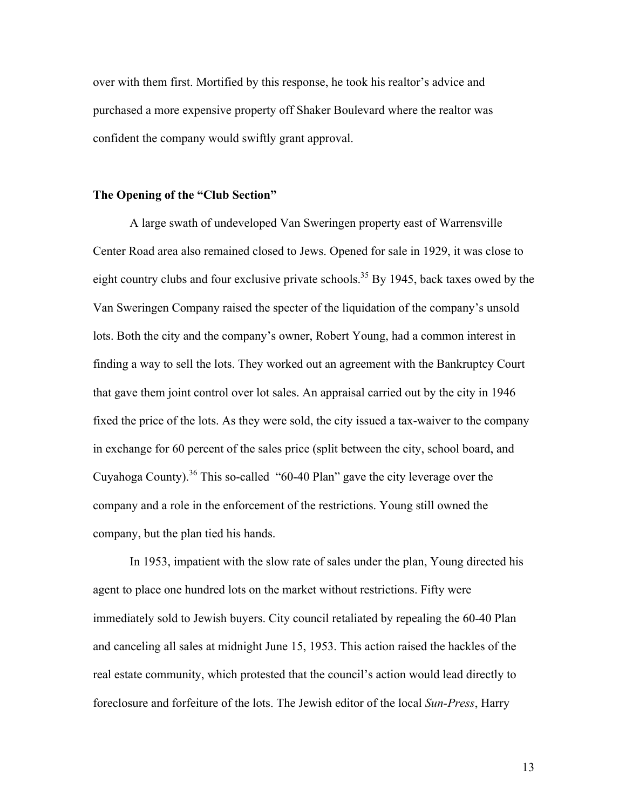over with them first. Mortified by this response, he took his realtor's advice and purchased a more expensive property off Shaker Boulevard where the realtor was confident the company would swiftly grant approval.

#### **The Opening of the "Club Section"**

A large swath of undeveloped Van Sweringen property east of Warrensville Center Road area also remained closed to Jews. Opened for sale in 1929, it was close to eight country clubs and four exclusive private schools.<sup>35</sup> By 1945, back taxes owed by the Van Sweringen Company raised the specter of the liquidation of the company's unsold lots. Both the city and the company's owner, Robert Young, had a common interest in finding a way to sell the lots. They worked out an agreement with the Bankruptcy Court that gave them joint control over lot sales. An appraisal carried out by the city in 1946 fixed the price of the lots. As they were sold, the city issued a tax-waiver to the company in exchange for 60 percent of the sales price (split between the city, school board, and Cuyahoga County).<sup>36</sup> This so-called "60-40 Plan" gave the city leverage over the company and a role in the enforcement of the restrictions. Young still owned the company, but the plan tied his hands.

In 1953, impatient with the slow rate of sales under the plan, Young directed his agent to place one hundred lots on the market without restrictions. Fifty were immediately sold to Jewish buyers. City council retaliated by repealing the 60-40 Plan and canceling all sales at midnight June 15, 1953. This action raised the hackles of the real estate community, which protested that the council's action would lead directly to foreclosure and forfeiture of the lots. The Jewish editor of the local *Sun-Press*, Harry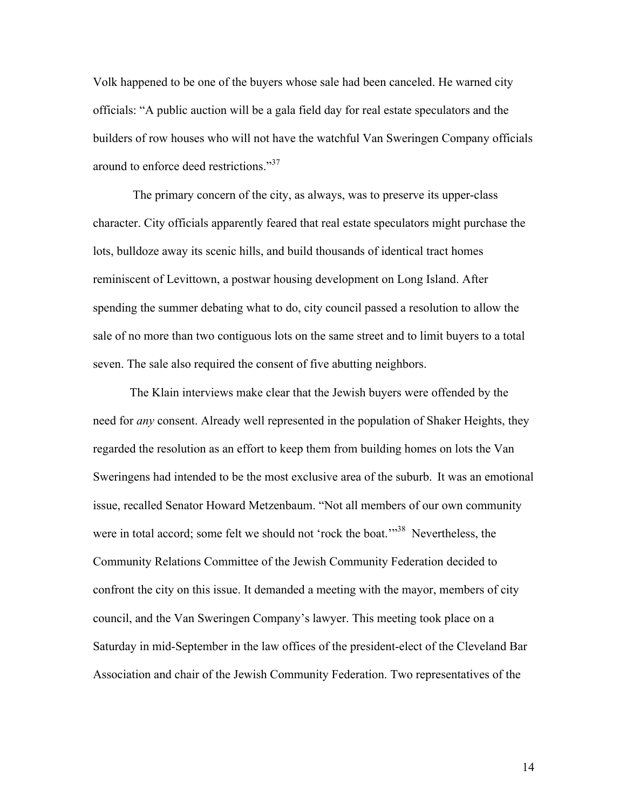Volk happened to be one of the buyers whose sale had been canceled. He warned city officials: "A public auction will be a gala field day for real estate speculators and the builders of row houses who will not have the watchful Van Sweringen Company officials around to enforce deed restrictions."<sup>37</sup>

The primary concern of the city, as always, was to preserve its upper-class character. City officials apparently feared that real estate speculators might purchase the lots, bulldoze away its scenic hills, and build thousands of identical tract homes reminiscent of Levittown, a postwar housing development on Long Island. After spending the summer debating what to do, city council passed a resolution to allow the sale of no more than two contiguous lots on the same street and to limit buyers to a total seven. The sale also required the consent of five abutting neighbors.

The Klain interviews make clear that the Jewish buyers were offended by the need for *any* consent. Already well represented in the population of Shaker Heights, they regarded the resolution as an effort to keep them from building homes on lots the Van Sweringens had intended to be the most exclusive area of the suburb. It was an emotional issue, recalled Senator Howard Metzenbaum. "Not all members of our own community were in total accord; some felt we should not 'rock the boat.'<sup>38</sup> Nevertheless, the Community Relations Committee of the Jewish Community Federation decided to confront the city on this issue. It demanded a meeting with the mayor, members of city council, and the Van Sweringen Company's lawyer. This meeting took place on a Saturday in mid-September in the law offices of the president-elect of the Cleveland Bar Association and chair of the Jewish Community Federation. Two representatives of the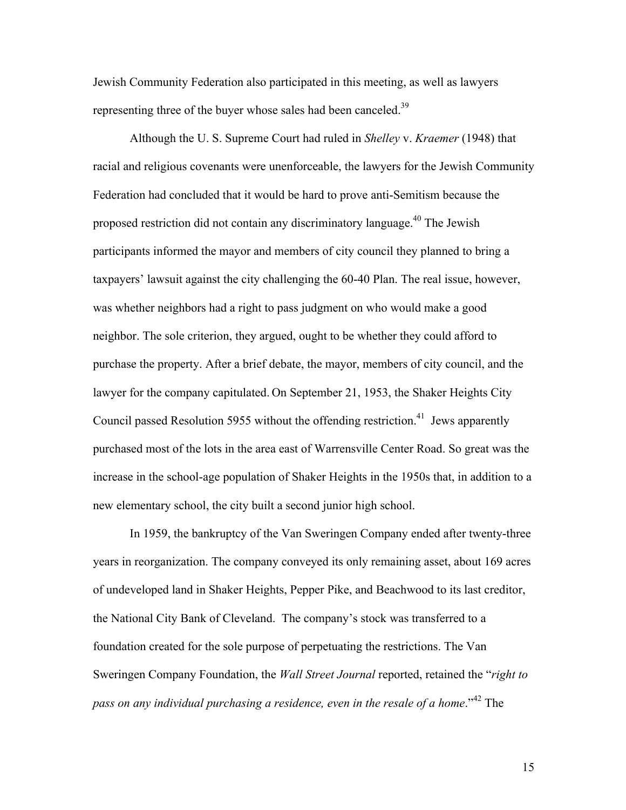Jewish Community Federation also participated in this meeting, as well as lawyers representing three of the buyer whose sales had been canceled.<sup>39</sup>

Although the U. S. Supreme Court had ruled in *Shelley* v. *Kraemer* (1948) that racial and religious covenants were unenforceable, the lawyers for the Jewish Community Federation had concluded that it would be hard to prove anti-Semitism because the proposed restriction did not contain any discriminatory language.<sup>40</sup> The Jewish participants informed the mayor and members of city council they planned to bring a taxpayers' lawsuit against the city challenging the 60-40 Plan. The real issue, however, was whether neighbors had a right to pass judgment on who would make a good neighbor. The sole criterion, they argued, ought to be whether they could afford to purchase the property. After a brief debate, the mayor, members of city council, and the lawyer for the company capitulated. On September 21, 1953, the Shaker Heights City Council passed Resolution 5955 without the offending restriction.<sup>41</sup> Jews apparently purchased most of the lots in the area east of Warrensville Center Road. So great was the increase in the school-age population of Shaker Heights in the 1950s that, in addition to a new elementary school, the city built a second junior high school.

In 1959, the bankruptcy of the Van Sweringen Company ended after twenty-three years in reorganization. The company conveyed its only remaining asset, about 169 acres of undeveloped land in Shaker Heights, Pepper Pike, and Beachwood to its last creditor, the National City Bank of Cleveland. The company's stock was transferred to a foundation created for the sole purpose of perpetuating the restrictions. The Van Sweringen Company Foundation, the *Wall Street Journal* reported, retained the "*right to pass on any individual purchasing a residence, even in the resale of a home*."42 The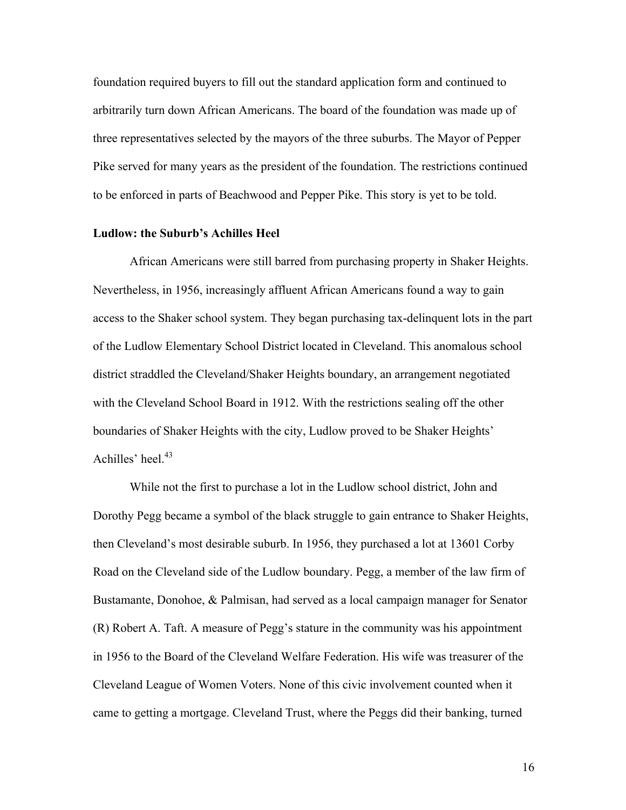foundation required buyers to fill out the standard application form and continued to arbitrarily turn down African Americans. The board of the foundation was made up of three representatives selected by the mayors of the three suburbs. The Mayor of Pepper Pike served for many years as the president of the foundation. The restrictions continued to be enforced in parts of Beachwood and Pepper Pike. This story is yet to be told.

#### **Ludlow: the Suburb's Achilles Heel**

African Americans were still barred from purchasing property in Shaker Heights. Nevertheless, in 1956, increasingly affluent African Americans found a way to gain access to the Shaker school system. They began purchasing tax-delinquent lots in the part of the Ludlow Elementary School District located in Cleveland. This anomalous school district straddled the Cleveland/Shaker Heights boundary, an arrangement negotiated with the Cleveland School Board in 1912. With the restrictions sealing off the other boundaries of Shaker Heights with the city, Ludlow proved to be Shaker Heights' Achilles' heel. 43

While not the first to purchase a lot in the Ludlow school district, John and Dorothy Pegg became a symbol of the black struggle to gain entrance to Shaker Heights, then Cleveland's most desirable suburb. In 1956, they purchased a lot at 13601 Corby Road on the Cleveland side of the Ludlow boundary. Pegg, a member of the law firm of Bustamante, Donohoe, & Palmisan, had served as a local campaign manager for Senator (R) Robert A. Taft. A measure of Pegg's stature in the community was his appointment in 1956 to the Board of the Cleveland Welfare Federation. His wife was treasurer of the Cleveland League of Women Voters. None of this civic involvement counted when it came to getting a mortgage. Cleveland Trust, where the Peggs did their banking, turned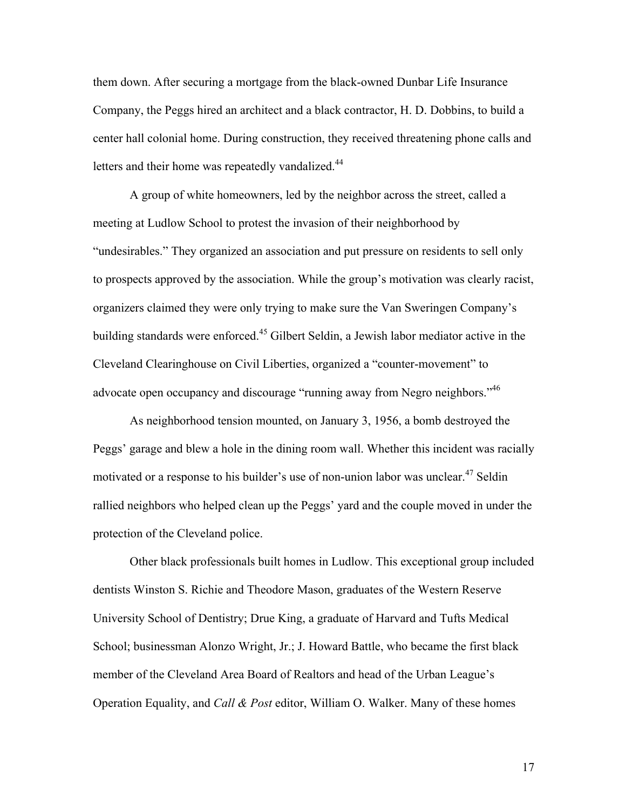them down. After securing a mortgage from the black-owned Dunbar Life Insurance Company, the Peggs hired an architect and a black contractor, H. D. Dobbins, to build a center hall colonial home. During construction, they received threatening phone calls and letters and their home was repeatedly vandalized.<sup>44</sup>

A group of white homeowners, led by the neighbor across the street, called a meeting at Ludlow School to protest the invasion of their neighborhood by "undesirables." They organized an association and put pressure on residents to sell only to prospects approved by the association. While the group's motivation was clearly racist, organizers claimed they were only trying to make sure the Van Sweringen Company's building standards were enforced.<sup>45</sup> Gilbert Seldin, a Jewish labor mediator active in the Cleveland Clearinghouse on Civil Liberties, organized a "counter-movement" to advocate open occupancy and discourage "running away from Negro neighbors."<sup>46</sup>

As neighborhood tension mounted, on January 3, 1956, a bomb destroyed the Peggs' garage and blew a hole in the dining room wall. Whether this incident was racially motivated or a response to his builder's use of non-union labor was unclear.<sup>47</sup> Seldin rallied neighbors who helped clean up the Peggs' yard and the couple moved in under the protection of the Cleveland police.

Other black professionals built homes in Ludlow. This exceptional group included dentists Winston S. Richie and Theodore Mason, graduates of the Western Reserve University School of Dentistry; Drue King, a graduate of Harvard and Tufts Medical School; businessman Alonzo Wright, Jr.; J. Howard Battle, who became the first black member of the Cleveland Area Board of Realtors and head of the Urban League's Operation Equality, and *Call & Post* editor, William O. Walker. Many of these homes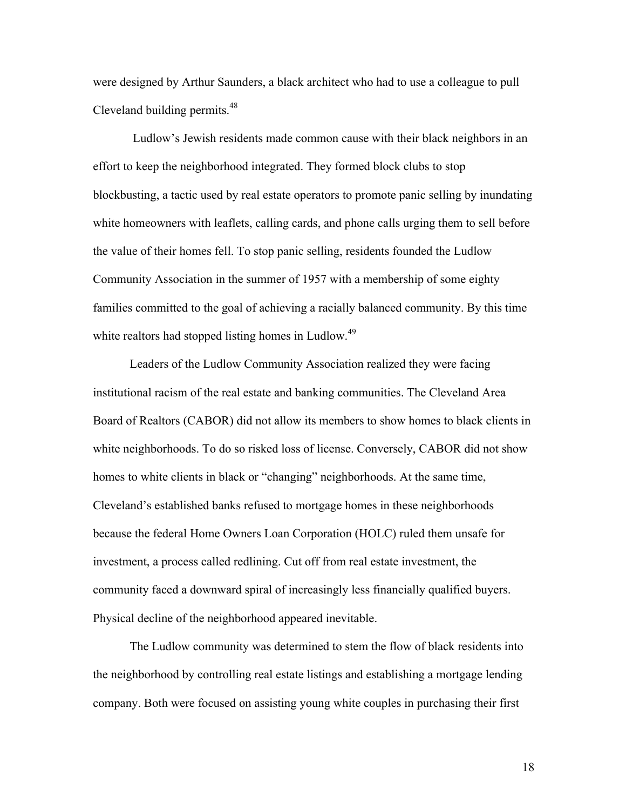were designed by Arthur Saunders, a black architect who had to use a colleague to pull Cleveland building permits.<sup>48</sup>

Ludlow's Jewish residents made common cause with their black neighbors in an effort to keep the neighborhood integrated. They formed block clubs to stop blockbusting, a tactic used by real estate operators to promote panic selling by inundating white homeowners with leaflets, calling cards, and phone calls urging them to sell before the value of their homes fell. To stop panic selling, residents founded the Ludlow Community Association in the summer of 1957 with a membership of some eighty families committed to the goal of achieving a racially balanced community. By this time white realtors had stopped listing homes in Ludlow.<sup>49</sup>

Leaders of the Ludlow Community Association realized they were facing institutional racism of the real estate and banking communities. The Cleveland Area Board of Realtors (CABOR) did not allow its members to show homes to black clients in white neighborhoods. To do so risked loss of license. Conversely, CABOR did not show homes to white clients in black or "changing" neighborhoods. At the same time, Cleveland's established banks refused to mortgage homes in these neighborhoods because the federal Home Owners Loan Corporation (HOLC) ruled them unsafe for investment, a process called redlining. Cut off from real estate investment, the community faced a downward spiral of increasingly less financially qualified buyers. Physical decline of the neighborhood appeared inevitable.

The Ludlow community was determined to stem the flow of black residents into the neighborhood by controlling real estate listings and establishing a mortgage lending company. Both were focused on assisting young white couples in purchasing their first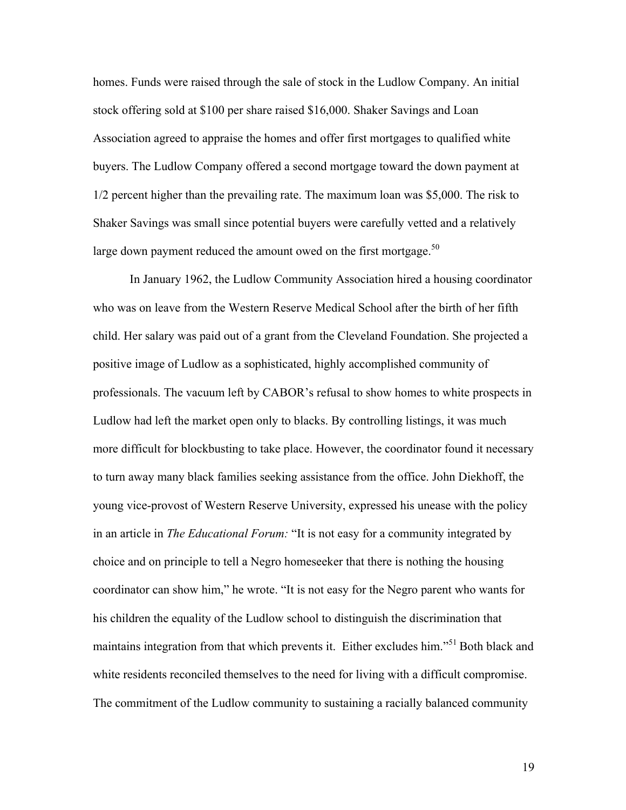homes. Funds were raised through the sale of stock in the Ludlow Company. An initial stock offering sold at \$100 per share raised \$16,000. Shaker Savings and Loan Association agreed to appraise the homes and offer first mortgages to qualified white buyers. The Ludlow Company offered a second mortgage toward the down payment at 1/2 percent higher than the prevailing rate. The maximum loan was \$5,000. The risk to Shaker Savings was small since potential buyers were carefully vetted and a relatively large down payment reduced the amount owed on the first mortgage.<sup>50</sup>

In January 1962, the Ludlow Community Association hired a housing coordinator who was on leave from the Western Reserve Medical School after the birth of her fifth child. Her salary was paid out of a grant from the Cleveland Foundation. She projected a positive image of Ludlow as a sophisticated, highly accomplished community of professionals. The vacuum left by CABOR's refusal to show homes to white prospects in Ludlow had left the market open only to blacks. By controlling listings, it was much more difficult for blockbusting to take place. However, the coordinator found it necessary to turn away many black families seeking assistance from the office. John Diekhoff, the young vice-provost of Western Reserve University, expressed his unease with the policy in an article in *The Educational Forum:* "It is not easy for a community integrated by choice and on principle to tell a Negro homeseeker that there is nothing the housing coordinator can show him," he wrote. "It is not easy for the Negro parent who wants for his children the equality of the Ludlow school to distinguish the discrimination that maintains integration from that which prevents it. Either excludes him."<sup>51</sup> Both black and white residents reconciled themselves to the need for living with a difficult compromise. The commitment of the Ludlow community to sustaining a racially balanced community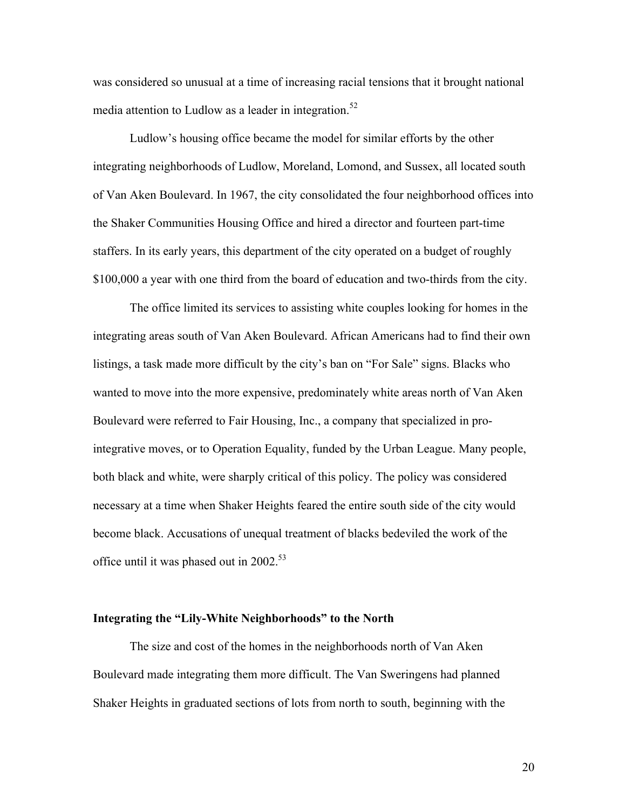was considered so unusual at a time of increasing racial tensions that it brought national media attention to Ludlow as a leader in integration. $52$ 

Ludlow's housing office became the model for similar efforts by the other integrating neighborhoods of Ludlow, Moreland, Lomond, and Sussex, all located south of Van Aken Boulevard. In 1967, the city consolidated the four neighborhood offices into the Shaker Communities Housing Office and hired a director and fourteen part-time staffers. In its early years, this department of the city operated on a budget of roughly \$100,000 a year with one third from the board of education and two-thirds from the city.

The office limited its services to assisting white couples looking for homes in the integrating areas south of Van Aken Boulevard. African Americans had to find their own listings, a task made more difficult by the city's ban on "For Sale" signs. Blacks who wanted to move into the more expensive, predominately white areas north of Van Aken Boulevard were referred to Fair Housing, Inc., a company that specialized in prointegrative moves, or to Operation Equality, funded by the Urban League. Many people, both black and white, were sharply critical of this policy. The policy was considered necessary at a time when Shaker Heights feared the entire south side of the city would become black. Accusations of unequal treatment of blacks bedeviled the work of the office until it was phased out in  $2002^{53}$ 

#### **Integrating the "Lily-White Neighborhoods" to the North**

The size and cost of the homes in the neighborhoods north of Van Aken Boulevard made integrating them more difficult. The Van Sweringens had planned Shaker Heights in graduated sections of lots from north to south, beginning with the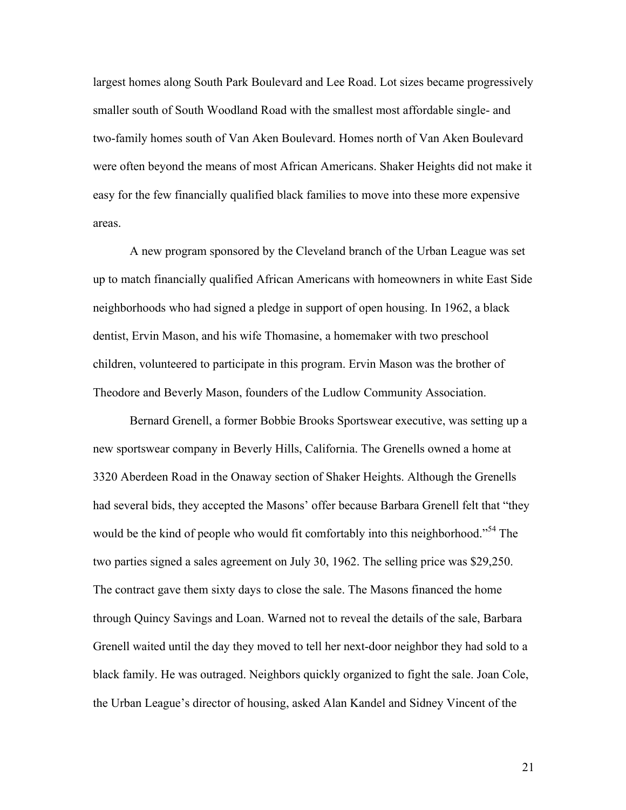largest homes along South Park Boulevard and Lee Road. Lot sizes became progressively smaller south of South Woodland Road with the smallest most affordable single- and two-family homes south of Van Aken Boulevard. Homes north of Van Aken Boulevard were often beyond the means of most African Americans. Shaker Heights did not make it easy for the few financially qualified black families to move into these more expensive areas.

A new program sponsored by the Cleveland branch of the Urban League was set up to match financially qualified African Americans with homeowners in white East Side neighborhoods who had signed a pledge in support of open housing. In 1962, a black dentist, Ervin Mason, and his wife Thomasine, a homemaker with two preschool children, volunteered to participate in this program. Ervin Mason was the brother of Theodore and Beverly Mason, founders of the Ludlow Community Association.

Bernard Grenell, a former Bobbie Brooks Sportswear executive, was setting up a new sportswear company in Beverly Hills, California. The Grenells owned a home at 3320 Aberdeen Road in the Onaway section of Shaker Heights. Although the Grenells had several bids, they accepted the Masons' offer because Barbara Grenell felt that "they would be the kind of people who would fit comfortably into this neighborhood.<sup>54</sup> The two parties signed a sales agreement on July 30, 1962. The selling price was \$29,250. The contract gave them sixty days to close the sale. The Masons financed the home through Quincy Savings and Loan. Warned not to reveal the details of the sale, Barbara Grenell waited until the day they moved to tell her next-door neighbor they had sold to a black family. He was outraged. Neighbors quickly organized to fight the sale. Joan Cole, the Urban League's director of housing, asked Alan Kandel and Sidney Vincent of the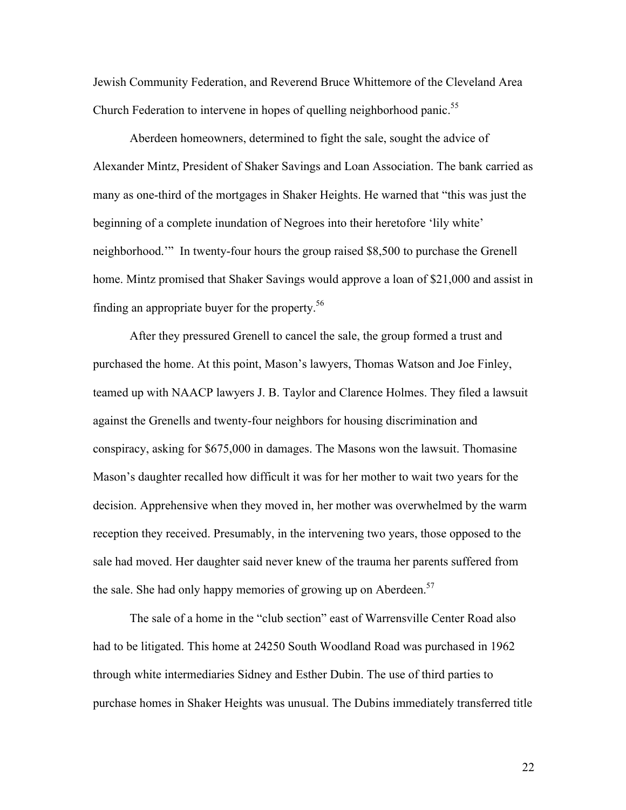Jewish Community Federation, and Reverend Bruce Whittemore of the Cleveland Area Church Federation to intervene in hopes of quelling neighborhood panic.<sup>55</sup>

Aberdeen homeowners, determined to fight the sale, sought the advice of Alexander Mintz, President of Shaker Savings and Loan Association. The bank carried as many as one-third of the mortgages in Shaker Heights. He warned that "this was just the beginning of a complete inundation of Negroes into their heretofore 'lily white' neighborhood.'" In twenty-four hours the group raised \$8,500 to purchase the Grenell home. Mintz promised that Shaker Savings would approve a loan of \$21,000 and assist in finding an appropriate buyer for the property. $56$ 

After they pressured Grenell to cancel the sale, the group formed a trust and purchased the home. At this point, Mason's lawyers, Thomas Watson and Joe Finley, teamed up with NAACP lawyers J. B. Taylor and Clarence Holmes. They filed a lawsuit against the Grenells and twenty-four neighbors for housing discrimination and conspiracy, asking for \$675,000 in damages. The Masons won the lawsuit. Thomasine Mason's daughter recalled how difficult it was for her mother to wait two years for the decision. Apprehensive when they moved in, her mother was overwhelmed by the warm reception they received. Presumably, in the intervening two years, those opposed to the sale had moved. Her daughter said never knew of the trauma her parents suffered from the sale. She had only happy memories of growing up on Aberdeen.<sup>57</sup>

The sale of a home in the "club section" east of Warrensville Center Road also had to be litigated. This home at 24250 South Woodland Road was purchased in 1962 through white intermediaries Sidney and Esther Dubin. The use of third parties to purchase homes in Shaker Heights was unusual. The Dubins immediately transferred title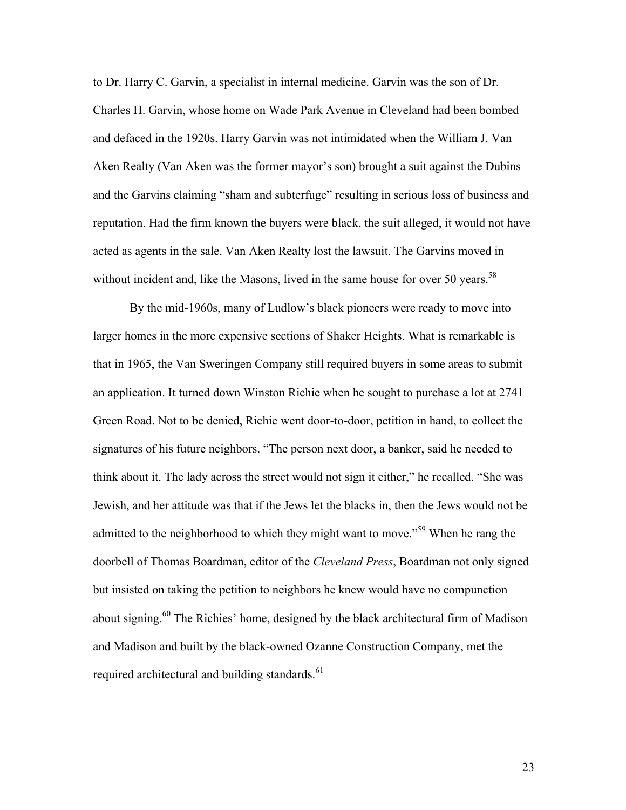to Dr. Harry C. Garvin, a specialist in internal medicine. Garvin was the son of Dr. Charles H. Garvin, whose home on Wade Park Avenue in Cleveland had been bombed and defaced in the 1920s. Harry Garvin was not intimidated when the William J. Van Aken Realty (Van Aken was the former mayor's son) brought a suit against the Dubins and the Garvins claiming "sham and subterfuge" resulting in serious loss of business and reputation. Had the firm known the buyers were black, the suit alleged, it would not have acted as agents in the sale. Van Aken Realty lost the lawsuit. The Garvins moved in without incident and, like the Masons, lived in the same house for over 50 years.<sup>58</sup>

By the mid-1960s, many of Ludlow's black pioneers were ready to move into larger homes in the more expensive sections of Shaker Heights. What is remarkable is that in 1965, the Van Sweringen Company still required buyers in some areas to submit an application. It turned down Winston Richie when he sought to purchase a lot at 2741 Green Road. Not to be denied, Richie went door-to-door, petition in hand, to collect the signatures of his future neighbors. "The person next door, a banker, said he needed to think about it. The lady across the street would not sign it either," he recalled. "She was Jewish, and her attitude was that if the Jews let the blacks in, then the Jews would not be admitted to the neighborhood to which they might want to move.<sup>59</sup> When he rang the doorbell of Thomas Boardman, editor of the *Cleveland Press*, Boardman not only signed but insisted on taking the petition to neighbors he knew would have no compunction about signing.<sup>60</sup> The Richies' home, designed by the black architectural firm of Madison and Madison and built by the black-owned Ozanne Construction Company, met the required architectural and building standards. $61$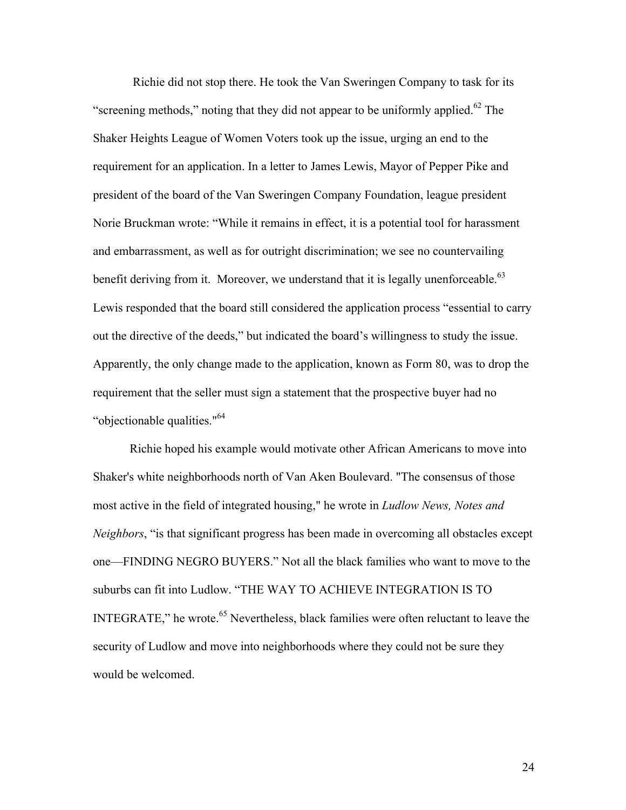Richie did not stop there. He took the Van Sweringen Company to task for its "screening methods," noting that they did not appear to be uniformly applied. $62$  The Shaker Heights League of Women Voters took up the issue, urging an end to the requirement for an application. In a letter to James Lewis, Mayor of Pepper Pike and president of the board of the Van Sweringen Company Foundation, league president Norie Bruckman wrote: "While it remains in effect, it is a potential tool for harassment and embarrassment, as well as for outright discrimination; we see no countervailing benefit deriving from it. Moreover, we understand that it is legally unenforceable.<sup>63</sup> Lewis responded that the board still considered the application process "essential to carry out the directive of the deeds," but indicated the board's willingness to study the issue. Apparently, the only change made to the application, known as Form 80, was to drop the requirement that the seller must sign a statement that the prospective buyer had no "objectionable qualities."64

Richie hoped his example would motivate other African Americans to move into Shaker's white neighborhoods north of Van Aken Boulevard. "The consensus of those most active in the field of integrated housing," he wrote in *Ludlow News, Notes and Neighbors*, "is that significant progress has been made in overcoming all obstacles except one—FINDING NEGRO BUYERS." Not all the black families who want to move to the suburbs can fit into Ludlow. "THE WAY TO ACHIEVE INTEGRATION IS TO INTEGRATE," he wrote.<sup>65</sup> Nevertheless, black families were often reluctant to leave the security of Ludlow and move into neighborhoods where they could not be sure they would be welcomed.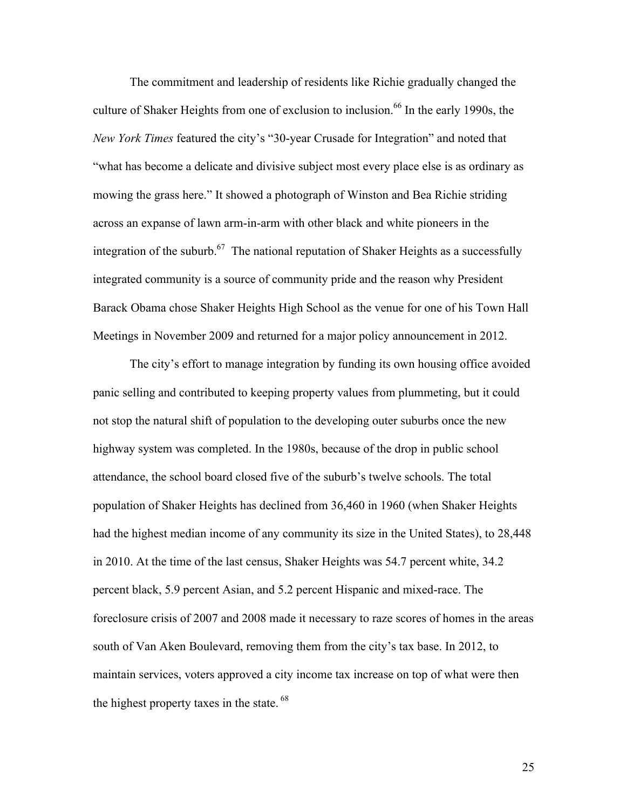The commitment and leadership of residents like Richie gradually changed the culture of Shaker Heights from one of exclusion to inclusion. <sup>66</sup> In the early 1990s, the *New York Times* featured the city's "30-year Crusade for Integration" and noted that "what has become a delicate and divisive subject most every place else is as ordinary as mowing the grass here." It showed a photograph of Winston and Bea Richie striding across an expanse of lawn arm-in-arm with other black and white pioneers in the integration of the suburb.<sup>67</sup> The national reputation of Shaker Heights as a successfully integrated community is a source of community pride and the reason why President Barack Obama chose Shaker Heights High School as the venue for one of his Town Hall Meetings in November 2009 and returned for a major policy announcement in 2012.

The city's effort to manage integration by funding its own housing office avoided panic selling and contributed to keeping property values from plummeting, but it could not stop the natural shift of population to the developing outer suburbs once the new highway system was completed. In the 1980s, because of the drop in public school attendance, the school board closed five of the suburb's twelve schools. The total population of Shaker Heights has declined from 36,460 in 1960 (when Shaker Heights had the highest median income of any community its size in the United States), to 28,448 in 2010. At the time of the last census, Shaker Heights was 54.7 percent white, 34.2 percent black, 5.9 percent Asian, and 5.2 percent Hispanic and mixed-race. The foreclosure crisis of 2007 and 2008 made it necessary to raze scores of homes in the areas south of Van Aken Boulevard, removing them from the city's tax base. In 2012, to maintain services, voters approved a city income tax increase on top of what were then the highest property taxes in the state.<sup>68</sup>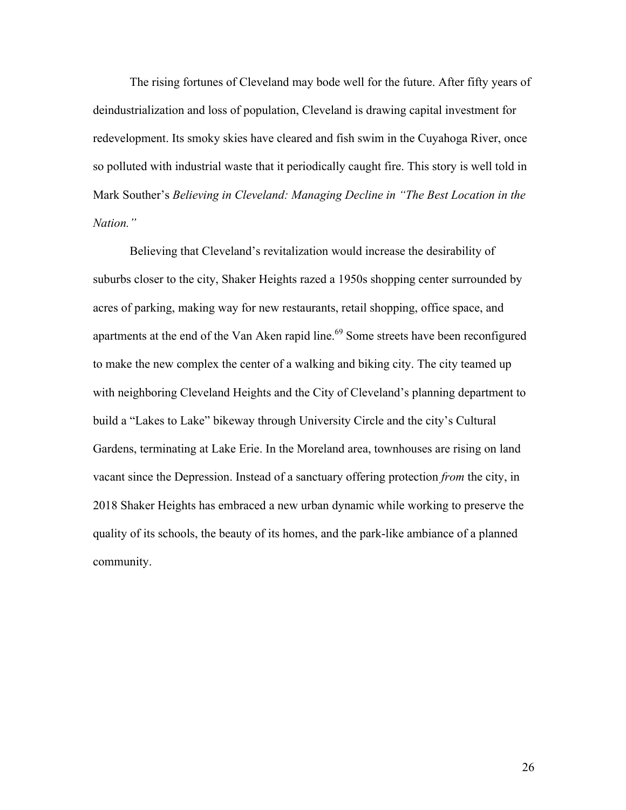The rising fortunes of Cleveland may bode well for the future. After fifty years of deindustrialization and loss of population, Cleveland is drawing capital investment for redevelopment. Its smoky skies have cleared and fish swim in the Cuyahoga River, once so polluted with industrial waste that it periodically caught fire. This story is well told in Mark Souther's *Believing in Cleveland: Managing Decline in "The Best Location in the Nation."*

Believing that Cleveland's revitalization would increase the desirability of suburbs closer to the city, Shaker Heights razed a 1950s shopping center surrounded by acres of parking, making way for new restaurants, retail shopping, office space, and apartments at the end of the Van Aken rapid line.<sup>69</sup> Some streets have been reconfigured to make the new complex the center of a walking and biking city. The city teamed up with neighboring Cleveland Heights and the City of Cleveland's planning department to build a "Lakes to Lake" bikeway through University Circle and the city's Cultural Gardens, terminating at Lake Erie. In the Moreland area, townhouses are rising on land vacant since the Depression. Instead of a sanctuary offering protection *from* the city, in 2018 Shaker Heights has embraced a new urban dynamic while working to preserve the quality of its schools, the beauty of its homes, and the park-like ambiance of a planned community.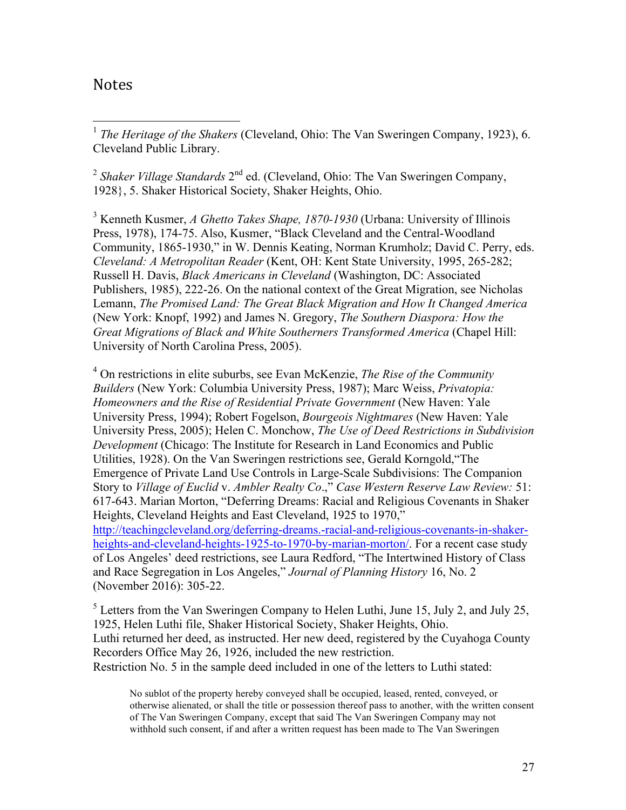## Notes

 1 *The Heritage of the Shakers* (Cleveland, Ohio: The Van Sweringen Company, 1923), 6. Cleveland Public Library.

<sup>2</sup> Shaker Village Standards 2<sup>nd</sup> ed. (Cleveland, Ohio: The Van Sweringen Company, 1928}, 5. Shaker Historical Society, Shaker Heights, Ohio.

<sup>3</sup> Kenneth Kusmer, *A Ghetto Takes Shape, 1870-1930* (Urbana: University of Illinois Press, 1978), 174-75. Also, Kusmer, "Black Cleveland and the Central-Woodland Community, 1865-1930," in W. Dennis Keating, Norman Krumholz; David C. Perry, eds. *Cleveland: A Metropolitan Reader* (Kent, OH: Kent State University, 1995, 265-282; Russell H. Davis, *Black Americans in Cleveland* (Washington, DC: Associated Publishers, 1985), 222-26. On the national context of the Great Migration, see Nicholas Lemann, *The Promised Land: The Great Black Migration and How It Changed America* (New York: Knopf, 1992) and James N. Gregory, *The Southern Diaspora: How the Great Migrations of Black and White Southerners Transformed America* (Chapel Hill: University of North Carolina Press, 2005).

<sup>4</sup> On restrictions in elite suburbs, see Evan McKenzie, *The Rise of the Community Builders* (New York: Columbia University Press, 1987); Marc Weiss, *Privatopia: Homeowners and the Rise of Residential Private Government* (New Haven: Yale University Press, 1994); Robert Fogelson, *Bourgeois Nightmares* (New Haven: Yale University Press, 2005); Helen C. Monchow, *The Use of Deed Restrictions in Subdivision Development* (Chicago: The Institute for Research in Land Economics and Public Utilities, 1928). On the Van Sweringen restrictions see, Gerald Korngold,"The Emergence of Private Land Use Controls in Large-Scale Subdivisions: The Companion Story to *Village of Euclid* v. *Ambler Realty Co*.," *Case Western Reserve Law Review:* 51: 617-643. Marian Morton, "Deferring Dreams: Racial and Religious Covenants in Shaker Heights, Cleveland Heights and East Cleveland, 1925 to 1970," http://teachingcleveland.org/deferring-dreams.-racial-and-religious-covenants-in-shakerheights-and-cleveland-heights-1925-to-1970-by-marian-morton/. For a recent case study of Los Angeles' deed restrictions, see Laura Redford, "The Intertwined History of Class and Race Segregation in Los Angeles," *Journal of Planning History* 16, No. 2 (November 2016): 305-22.

<sup>5</sup> Letters from the Van Sweringen Company to Helen Luthi, June 15, July 2, and July 25, 1925, Helen Luthi file, Shaker Historical Society, Shaker Heights, Ohio. Luthi returned her deed, as instructed. Her new deed, registered by the Cuyahoga County Recorders Office May 26, 1926, included the new restriction. Restriction No. 5 in the sample deed included in one of the letters to Luthi stated:

No sublot of the property hereby conveyed shall be occupied, leased, rented, conveyed, or otherwise alienated, or shall the title or possession thereof pass to another, with the written consent of The Van Sweringen Company, except that said The Van Sweringen Company may not withhold such consent, if and after a written request has been made to The Van Sweringen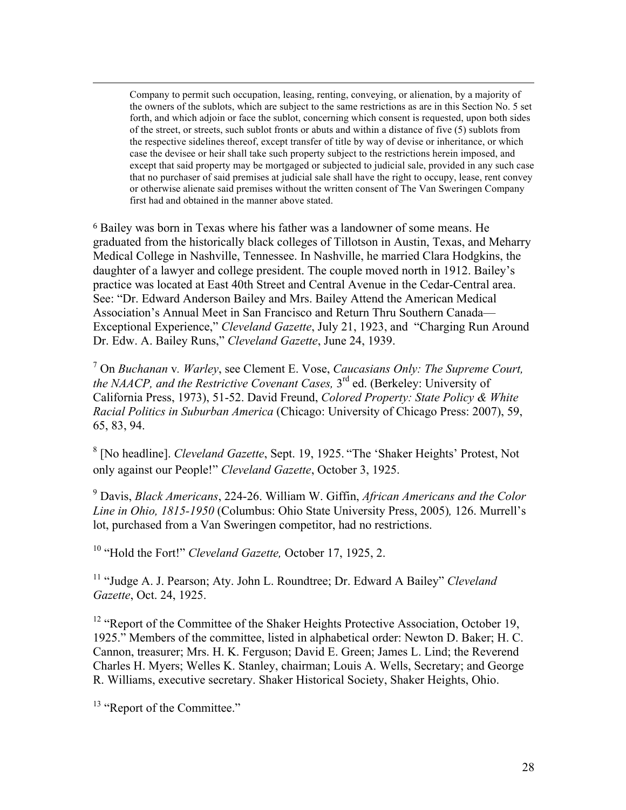Company to permit such occupation, leasing, renting, conveying, or alienation, by a majority of the owners of the sublots, which are subject to the same restrictions as are in this Section No. 5 set forth, and which adjoin or face the sublot, concerning which consent is requested, upon both sides of the street, or streets, such sublot fronts or abuts and within a distance of five (5) sublots from the respective sidelines thereof, except transfer of title by way of devise or inheritance, or which case the devisee or heir shall take such property subject to the restrictions herein imposed, and except that said property may be mortgaged or subjected to judicial sale, provided in any such case that no purchaser of said premises at judicial sale shall have the right to occupy, lease, rent convey or otherwise alienate said premises without the written consent of The Van Sweringen Company first had and obtained in the manner above stated.

<sup>6</sup> Bailey was born in Texas where his father was a landowner of some means. He graduated from the historically black colleges of Tillotson in Austin, Texas, and Meharry Medical College in Nashville, Tennessee. In Nashville, he married Clara Hodgkins, the daughter of a lawyer and college president. The couple moved north in 1912. Bailey's practice was located at East 40th Street and Central Avenue in the Cedar-Central area. See: "Dr. Edward Anderson Bailey and Mrs. Bailey Attend the American Medical Association's Annual Meet in San Francisco and Return Thru Southern Canada— Exceptional Experience," *Cleveland Gazette*, July 21, 1923, and "Charging Run Around Dr. Edw. A. Bailey Runs," *Cleveland Gazette*, June 24, 1939.

<sup>7</sup> On *Buchanan* v*. Warley*, see Clement E. Vose, *Caucasians Only: The Supreme Court, the NAACP, and the Restrictive Covenant Cases,* 3<sup>rd</sup> ed. (Berkeley: University of California Press, 1973), 51-52. David Freund, *Colored Property: State Policy & White Racial Politics in Suburban America* (Chicago: University of Chicago Press: 2007), 59, 65, 83, 94.

<sup>8</sup> [No headline]. *Cleveland Gazette*, Sept. 19, 1925. "The 'Shaker Heights' Protest, Not only against our People!" *Cleveland Gazette*, October 3, 1925.

<sup>9</sup> Davis, *Black Americans*, 224-26. William W. Giffin, *African Americans and the Color Line in Ohio, 1815-1950* (Columbus: Ohio State University Press, 2005)*,* 126. Murrell's lot, purchased from a Van Sweringen competitor, had no restrictions.

<sup>10</sup> "Hold the Fort!" *Cleveland Gazette,* October 17, 1925, 2.

<sup>11</sup> "Judge A. J. Pearson; Aty. John L. Roundtree; Dr. Edward A Bailey" *Cleveland Gazette*, Oct. 24, 1925.

<sup>12</sup> "Report of the Committee of the Shaker Heights Protective Association, October 19, 1925." Members of the committee, listed in alphabetical order: Newton D. Baker; H. C. Cannon, treasurer; Mrs. H. K. Ferguson; David E. Green; James L. Lind; the Reverend Charles H. Myers; Welles K. Stanley, chairman; Louis A. Wells, Secretary; and George R. Williams, executive secretary. Shaker Historical Society, Shaker Heights, Ohio.

<sup>13</sup> "Report of the Committee."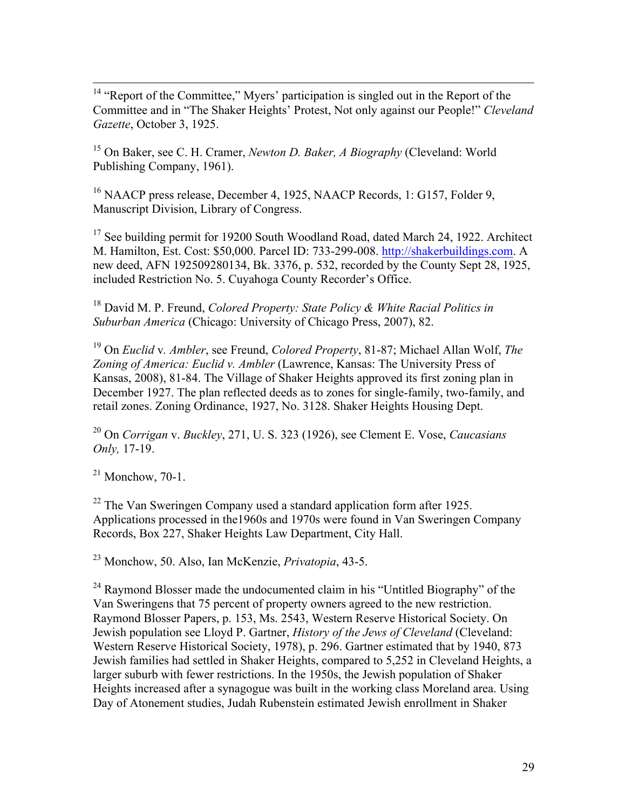<sup>14</sup> "Report of the Committee," Myers' participation is singled out in the Report of the Committee and in "The Shaker Heights' Protest, Not only against our People!" *Cleveland Gazette*, October 3, 1925.

<sup>15</sup> On Baker, see C. H. Cramer, *Newton D. Baker, A Biography* (Cleveland: World Publishing Company, 1961).

<sup>16</sup> NAACP press release, December 4, 1925, NAACP Records, 1: G157, Folder 9, Manuscript Division, Library of Congress.

<sup>17</sup> See building permit for 19200 South Woodland Road, dated March 24, 1922. Architect M. Hamilton, Est. Cost: \$50,000. Parcel ID: 733-299-008. http://shakerbuildings.com. A new deed, AFN 192509280134, Bk. 3376, p. 532, recorded by the County Sept 28, 1925, included Restriction No. 5. Cuyahoga County Recorder's Office.

<sup>18</sup> David M. P. Freund, *Colored Property: State Policy & White Racial Politics in Suburban America* (Chicago: University of Chicago Press, 2007), 82.

<sup>19</sup> On *Euclid* v*. Ambler*, see Freund, *Colored Property*, 81-87; Michael Allan Wolf, *The Zoning of America: Euclid v. Ambler* (Lawrence, Kansas: The University Press of Kansas, 2008), 81-84. The Village of Shaker Heights approved its first zoning plan in December 1927. The plan reflected deeds as to zones for single-family, two-family, and retail zones. Zoning Ordinance, 1927, No. 3128. Shaker Heights Housing Dept.

<sup>20</sup> On *Corrigan* v. *Buckley*, 271, U. S. 323 (1926), see Clement E. Vose, *Caucasians Only,* 17-19.

 $21$  Monchow, 70-1.

 $22$  The Van Sweringen Company used a standard application form after 1925. Applications processed in the1960s and 1970s were found in Van Sweringen Company Records, Box 227, Shaker Heights Law Department, City Hall.

<sup>23</sup> Monchow, 50. Also, Ian McKenzie, *Privatopia*, 43-5.

 $24$  Raymond Blosser made the undocumented claim in his "Untitled Biography" of the Van Sweringens that 75 percent of property owners agreed to the new restriction. Raymond Blosser Papers, p. 153, Ms. 2543, Western Reserve Historical Society. On Jewish population see Lloyd P. Gartner, *History of the Jews of Cleveland* (Cleveland: Western Reserve Historical Society, 1978), p. 296. Gartner estimated that by 1940, 873 Jewish families had settled in Shaker Heights, compared to 5,252 in Cleveland Heights, a larger suburb with fewer restrictions. In the 1950s, the Jewish population of Shaker Heights increased after a synagogue was built in the working class Moreland area. Using Day of Atonement studies, Judah Rubenstein estimated Jewish enrollment in Shaker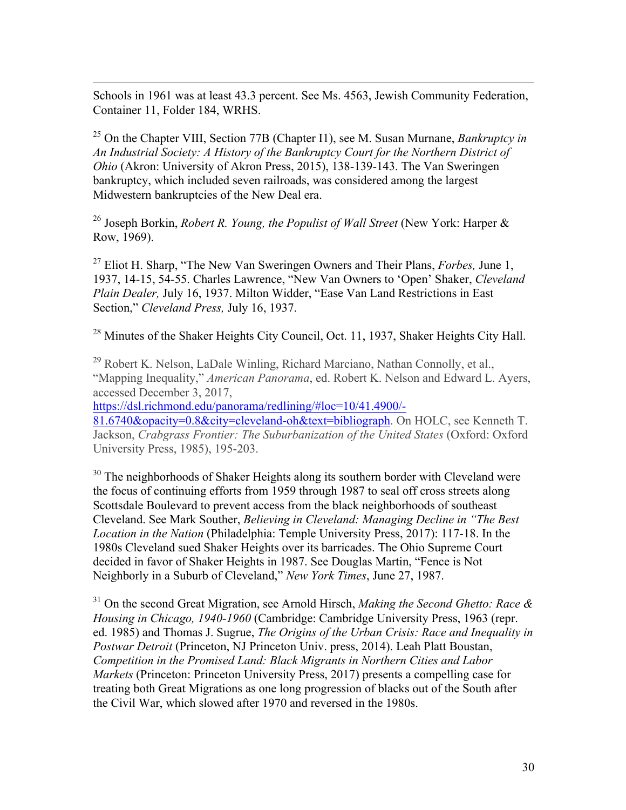$\overline{a}$ Schools in 1961 was at least 43.3 percent. See Ms. 4563, Jewish Community Federation, Container 11, Folder 184, WRHS.

<sup>25</sup> On the Chapter VIII, Section 77B (Chapter I1), see M. Susan Murnane, *Bankruptcy in An Industrial Society: A History of the Bankruptcy Court for the Northern District of Ohio* (Akron: University of Akron Press, 2015), 138-139-143. The Van Sweringen bankruptcy, which included seven railroads, was considered among the largest Midwestern bankruptcies of the New Deal era.

<sup>26</sup> Joseph Borkin, *Robert R. Young, the Populist of Wall Street* (New York: Harper & Row, 1969).

<sup>27</sup> Eliot H. Sharp, "The New Van Sweringen Owners and Their Plans, *Forbes,* June 1, 1937, 14-15, 54-55. Charles Lawrence, "New Van Owners to 'Open' Shaker, *Cleveland Plain Dealer,* July 16, 1937. Milton Widder, "Ease Van Land Restrictions in East Section," *Cleveland Press,* July 16, 1937.

<sup>28</sup> Minutes of the Shaker Heights City Council, Oct. 11, 1937, Shaker Heights City Hall.

<sup>29</sup> Robert K. Nelson, LaDale Winling, Richard Marciano, Nathan Connolly, et al., "Mapping Inequality," *American Panorama*, ed. Robert K. Nelson and Edward L. Ayers, accessed December 3, 2017,

https://dsl.richmond.edu/panorama/redlining/#loc=10/41.4900/-

81.6740&opacity=0.8&city=cleveland-oh&text=bibliograph. On HOLC, see Kenneth T. Jackson, *Crabgrass Frontier: The Suburbanization of the United States* (Oxford: Oxford University Press, 1985), 195-203.

<sup>30</sup> The neighborhoods of Shaker Heights along its southern border with Cleveland were the focus of continuing efforts from 1959 through 1987 to seal off cross streets along Scottsdale Boulevard to prevent access from the black neighborhoods of southeast Cleveland. See Mark Souther, *Believing in Cleveland: Managing Decline in "The Best Location in the Nation* (Philadelphia: Temple University Press, 2017): 117-18. In the 1980s Cleveland sued Shaker Heights over its barricades. The Ohio Supreme Court decided in favor of Shaker Heights in 1987. See Douglas Martin, "Fence is Not Neighborly in a Suburb of Cleveland," *New York Times*, June 27, 1987.

<sup>31</sup> On the second Great Migration, see Arnold Hirsch, *Making the Second Ghetto: Race & Housing in Chicago, 1940-1960* (Cambridge: Cambridge University Press, 1963 (repr. ed. 1985) and Thomas J. Sugrue, *The Origins of the Urban Crisis: Race and Inequality in Postwar Detroit* (Princeton, NJ Princeton Univ. press, 2014). Leah Platt Boustan, *Competition in the Promised Land: Black Migrants in Northern Cities and Labor Markets* (Princeton: Princeton University Press, 2017) presents a compelling case for treating both Great Migrations as one long progression of blacks out of the South after the Civil War, which slowed after 1970 and reversed in the 1980s.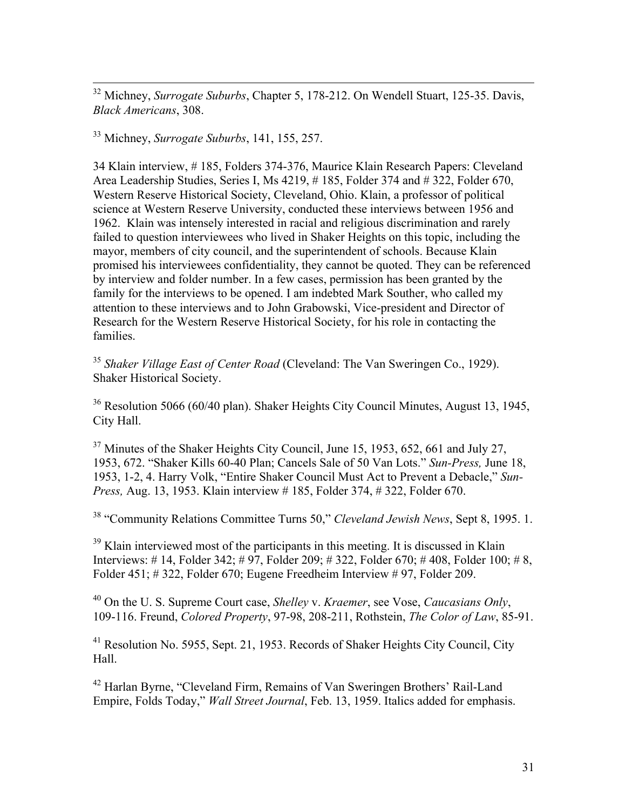32 Michney, *Surrogate Suburbs*, Chapter 5, 178-212. On Wendell Stuart, 125-35. Davis, *Black Americans*, 308.

<sup>33</sup> Michney, *Surrogate Suburbs*, 141, 155, 257.

34 Klain interview, # 185, Folders 374-376, Maurice Klain Research Papers: Cleveland Area Leadership Studies, Series I, Ms 4219, # 185, Folder 374 and # 322, Folder 670, Western Reserve Historical Society, Cleveland, Ohio. Klain, a professor of political science at Western Reserve University, conducted these interviews between 1956 and 1962. Klain was intensely interested in racial and religious discrimination and rarely failed to question interviewees who lived in Shaker Heights on this topic, including the mayor, members of city council, and the superintendent of schools. Because Klain promised his interviewees confidentiality, they cannot be quoted. They can be referenced by interview and folder number. In a few cases, permission has been granted by the family for the interviews to be opened. I am indebted Mark Souther, who called my attention to these interviews and to John Grabowski, Vice-president and Director of Research for the Western Reserve Historical Society, for his role in contacting the families.

<sup>35</sup> *Shaker Village East of Center Road* (Cleveland: The Van Sweringen Co., 1929). Shaker Historical Society.

<sup>36</sup> Resolution 5066 (60/40 plan). Shaker Heights City Council Minutes, August 13, 1945, City Hall.

<sup>37</sup> Minutes of the Shaker Heights City Council, June 15, 1953, 652, 661 and July 27, 1953, 672. "Shaker Kills 60-40 Plan; Cancels Sale of 50 Van Lots." *Sun-Press,* June 18, 1953, 1-2, 4. Harry Volk, "Entire Shaker Council Must Act to Prevent a Debacle," *Sun-Press,* Aug. 13, 1953. Klain interview # 185, Folder 374, # 322, Folder 670.

<sup>38</sup> "Community Relations Committee Turns 50," *Cleveland Jewish News*, Sept 8, 1995. 1.

<sup>39</sup> Klain interviewed most of the participants in this meeting. It is discussed in Klain Interviews: # 14, Folder 342; # 97, Folder 209; # 322, Folder 670; # 408, Folder 100; # 8, Folder 451; # 322, Folder 670; Eugene Freedheim Interview # 97, Folder 209.

<sup>40</sup> On the U. S. Supreme Court case, *Shelley* v. *Kraemer*, see Vose, *Caucasians Only*, 109-116. Freund, *Colored Property*, 97-98, 208-211, Rothstein, *The Color of Law*, 85-91.

<sup>41</sup> Resolution No. 5955, Sept. 21, 1953. Records of Shaker Heights City Council, City Hall.

<sup>42</sup> Harlan Byrne, "Cleveland Firm, Remains of Van Sweringen Brothers' Rail-Land Empire, Folds Today," *Wall Street Journal*, Feb. 13, 1959. Italics added for emphasis.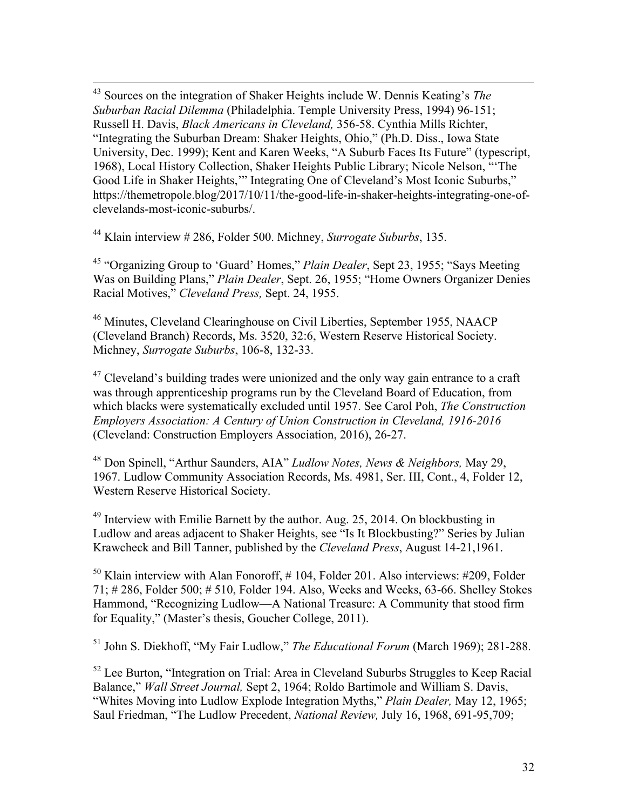43 Sources on the integration of Shaker Heights include W. Dennis Keating's *The Suburban Racial Dilemma* (Philadelphia. Temple University Press, 1994) 96-151; Russell H. Davis, *Black Americans in Cleveland,* 356-58. Cynthia Mills Richter, "Integrating the Suburban Dream: Shaker Heights, Ohio," (Ph.D. Diss., Iowa State University, Dec. 1999); Kent and Karen Weeks, "A Suburb Faces Its Future" (typescript, 1968), Local History Collection, Shaker Heights Public Library; Nicole Nelson, "'The Good Life in Shaker Heights,'" Integrating One of Cleveland's Most Iconic Suburbs," https://themetropole.blog/2017/10/11/the-good-life-in-shaker-heights-integrating-one-ofclevelands-most-iconic-suburbs/.

<sup>44</sup> Klain interview # 286, Folder 500. Michney, *Surrogate Suburbs*, 135.

<sup>45</sup> "Organizing Group to 'Guard' Homes," *Plain Dealer*, Sept 23, 1955; "Says Meeting Was on Building Plans," *Plain Dealer*, Sept. 26, 1955; "Home Owners Organizer Denies Racial Motives," *Cleveland Press,* Sept. 24, 1955.

<sup>46</sup> Minutes, Cleveland Clearinghouse on Civil Liberties, September 1955, NAACP (Cleveland Branch) Records, Ms. 3520, 32:6, Western Reserve Historical Society. Michney, *Surrogate Suburbs*, 106-8, 132-33.

 $47$  Cleveland's building trades were unionized and the only way gain entrance to a craft was through apprenticeship programs run by the Cleveland Board of Education, from which blacks were systematically excluded until 1957. See Carol Poh, *The Construction Employers Association: A Century of Union Construction in Cleveland, 1916-2016* (Cleveland: Construction Employers Association, 2016), 26-27.

<sup>48</sup> Don Spinell, "Arthur Saunders, AIA" *Ludlow Notes, News & Neighbors,* May 29, 1967. Ludlow Community Association Records, Ms. 4981, Ser. III, Cont., 4, Folder 12, Western Reserve Historical Society.

<sup>49</sup> Interview with Emilie Barnett by the author. Aug. 25, 2014. On blockbusting in Ludlow and areas adjacent to Shaker Heights, see "Is It Blockbusting?" Series by Julian Krawcheck and Bill Tanner, published by the *Cleveland Press*, August 14-21,1961.

 $50$  Klain interview with Alan Fonoroff, #104, Folder 201, Also interviews: #209, Folder 71; # 286, Folder 500; # 510, Folder 194. Also, Weeks and Weeks, 63-66. Shelley Stokes Hammond, "Recognizing Ludlow—A National Treasure: A Community that stood firm for Equality," (Master's thesis, Goucher College, 2011).

<sup>51</sup> John S. Diekhoff, "My Fair Ludlow," *The Educational Forum* (March 1969); 281-288.

<sup>52</sup> Lee Burton, "Integration on Trial: Area in Cleveland Suburbs Struggles to Keep Racial Balance," *Wall Street Journal,* Sept 2, 1964; Roldo Bartimole and William S. Davis, "Whites Moving into Ludlow Explode Integration Myths," *Plain Dealer,* May 12, 1965; Saul Friedman, "The Ludlow Precedent, *National Review,* July 16, 1968, 691-95,709;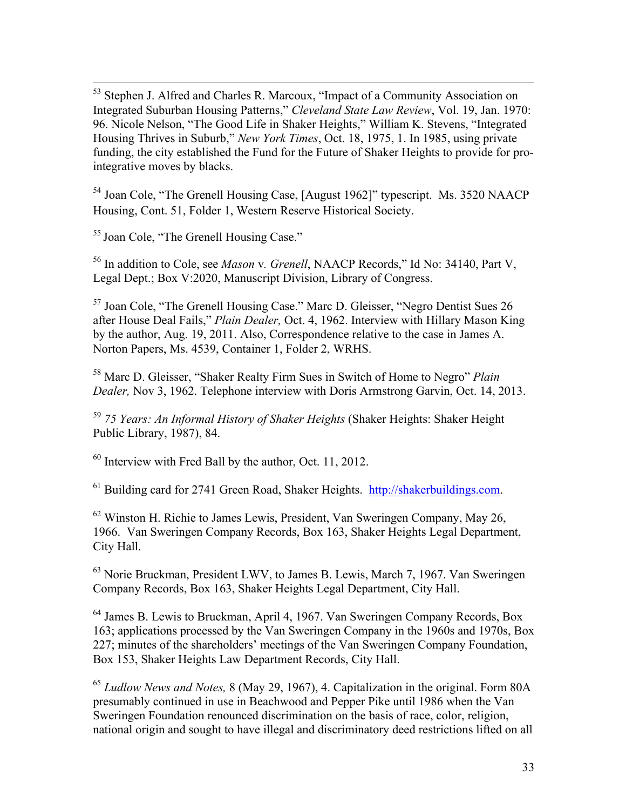53 Stephen J. Alfred and Charles R. Marcoux, "Impact of a Community Association on Integrated Suburban Housing Patterns," *Cleveland State Law Review*, Vol. 19, Jan. 1970: 96. Nicole Nelson, "The Good Life in Shaker Heights," William K. Stevens, "Integrated Housing Thrives in Suburb," *New York Times*, Oct. 18, 1975, 1. In 1985, using private funding, the city established the Fund for the Future of Shaker Heights to provide for prointegrative moves by blacks.

<sup>54</sup> Joan Cole, "The Grenell Housing Case, [August 1962]" typescript. Ms. 3520 NAACP Housing, Cont. 51, Folder 1, Western Reserve Historical Society.

<sup>55</sup> Joan Cole, "The Grenell Housing Case."

<sup>56</sup> In addition to Cole, see *Mason* v*. Grenell*, NAACP Records," Id No: 34140, Part V, Legal Dept.; Box V:2020, Manuscript Division, Library of Congress.

<sup>57</sup> Joan Cole, "The Grenell Housing Case." Marc D. Gleisser, "Negro Dentist Sues 26 after House Deal Fails," *Plain Dealer,* Oct. 4, 1962. Interview with Hillary Mason King by the author, Aug. 19, 2011. Also, Correspondence relative to the case in James A. Norton Papers, Ms. 4539, Container 1, Folder 2, WRHS.

<sup>58</sup> Marc D. Gleisser, "Shaker Realty Firm Sues in Switch of Home to Negro" *Plain Dealer,* Nov 3, 1962. Telephone interview with Doris Armstrong Garvin, Oct. 14, 2013.

<sup>59</sup> *75 Years: An Informal History of Shaker Heights* (Shaker Heights: Shaker Height Public Library, 1987), 84.

<sup>60</sup> Interview with Fred Ball by the author, Oct. 11, 2012.

<sup>61</sup> Building card for 2741 Green Road, Shaker Heights. http://shakerbuildings.com.

<sup>62</sup> Winston H. Richie to James Lewis, President, Van Sweringen Company, May 26, 1966. Van Sweringen Company Records, Box 163, Shaker Heights Legal Department, City Hall.

<sup>63</sup> Norie Bruckman, President LWV, to James B. Lewis, March 7, 1967. Van Sweringen Company Records, Box 163, Shaker Heights Legal Department, City Hall.

<sup>64</sup> James B. Lewis to Bruckman, April 4, 1967. Van Sweringen Company Records, Box 163; applications processed by the Van Sweringen Company in the 1960s and 1970s, Box 227; minutes of the shareholders' meetings of the Van Sweringen Company Foundation, Box 153, Shaker Heights Law Department Records, City Hall.

<sup>65</sup> *Ludlow News and Notes,* 8 (May 29, 1967), 4. Capitalization in the original. Form 80A presumably continued in use in Beachwood and Pepper Pike until 1986 when the Van Sweringen Foundation renounced discrimination on the basis of race, color, religion, national origin and sought to have illegal and discriminatory deed restrictions lifted on all